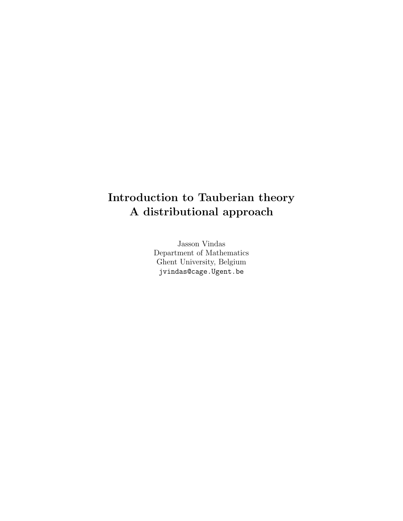# Introduction to Tauberian theory A distributional approach

Jasson Vindas Department of Mathematics Ghent University, Belgium jvindas@cage.Ugent.be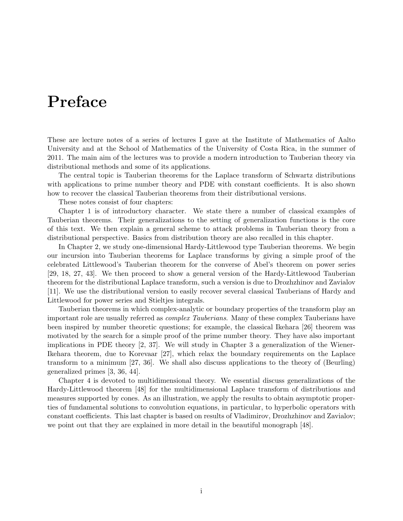# Preface

These are lecture notes of a series of lectures I gave at the Institute of Mathematics of Aalto University and at the School of Mathematics of the University of Costa Rica, in the summer of 2011. The main aim of the lectures was to provide a modern introduction to Tauberian theory via distributional methods and some of its applications.

The central topic is Tauberian theorems for the Laplace transform of Schwartz distributions with applications to prime number theory and PDE with constant coefficients. It is also shown how to recover the classical Tauberian theorems from their distributional versions.

These notes consist of four chapters:

Chapter 1 is of introductory character. We state there a number of classical examples of Tauberian theorems. Their generalizations to the setting of generalization functions is the core of this text. We then explain a general scheme to attack problems in Tauberian theory from a distributional perspective. Basics from distribution theory are also recalled in this chapter.

In Chapter 2, we study one-dimensional Hardy-Littlewood type Tauberian theorems. We begin our incursion into Tauberian theorems for Laplace transforms by giving a simple proof of the celebrated Littlewood's Tauberian theorem for the converse of Abel's theorem on power series [29, 18, 27, 43]. We then proceed to show a general version of the Hardy-Littlewood Tauberian theorem for the distributional Laplace transform, such a version is due to Drozhzhinov and Zavialov [11]. We use the distributional version to easily recover several classical Tauberians of Hardy and Littlewood for power series and Stieltjes integrals.

Tauberian theorems in which complex-analytic or boundary properties of the transform play an important role are usually referred as complex Tauberians. Many of these complex Tauberians have been inspired by number theoretic questions; for example, the classical Ikehara [26] theorem was motivated by the search for a simple proof of the prime number theory. They have also important implications in PDE theory [2, 37]. We will study in Chapter 3 a generalization of the Wiener-Ikehara theorem, due to Korevaar [27], which relax the boundary requirements on the Laplace transform to a minimum [27, 36]. We shall also discuss applications to the theory of (Beurling) generalized primes [3, 36, 44].

Chapter 4 is devoted to multidimensional theory. We essential discuss generalizations of the Hardy-Littlewood theorem [48] for the multidimensional Laplace transform of distributions and measures supported by cones. As an illustration, we apply the results to obtain asymptotic properties of fundamental solutions to convolution equations, in particular, to hyperbolic operators with constant coefficients. This last chapter is based on results of Vladimirov, Drozhzhinov and Zavialov; we point out that they are explained in more detail in the beautiful monograph [48].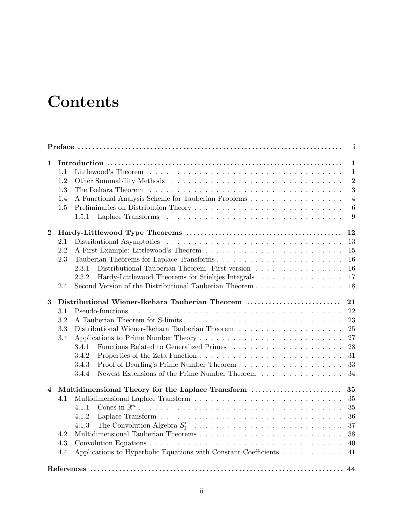# **Contents**

|          |     |                                                                                                    | i                                                                                                        |
|----------|-----|----------------------------------------------------------------------------------------------------|----------------------------------------------------------------------------------------------------------|
| 1        |     |                                                                                                    | 1                                                                                                        |
|          | 1.1 |                                                                                                    | $\mathbf{1}$                                                                                             |
|          | 1.2 |                                                                                                    | $\overline{2}$<br>3<br>$\overline{4}$<br>$\boldsymbol{6}$<br>9                                           |
|          | 1.3 |                                                                                                    |                                                                                                          |
|          | 1.4 | A Functional Analysis Scheme for Tauberian Problems                                                |                                                                                                          |
|          | 1.5 |                                                                                                    |                                                                                                          |
|          |     | 1.5.1                                                                                              |                                                                                                          |
| $\bf{2}$ |     |                                                                                                    | 12                                                                                                       |
|          | 2.1 |                                                                                                    |                                                                                                          |
|          | 2.2 |                                                                                                    |                                                                                                          |
|          | 2.3 |                                                                                                    | 13<br>15<br>16<br>16<br>17<br>21<br>22<br>23<br>25<br>27<br>28<br>31<br>33<br>34<br>35<br>35<br>36<br>37 |
|          |     | Distributional Tauberian Theorem. First version<br>2.3.1                                           |                                                                                                          |
|          |     | Hardy-Littlewood Theorems for Stieltjes Integrals<br>2.3.2                                         |                                                                                                          |
|          | 2.4 | Second Version of the Distributional Tauberian Theorem                                             | 18                                                                                                       |
| 3        |     | Distributional Wiener-Ikehara Tauberian Theorem                                                    |                                                                                                          |
|          | 3.1 |                                                                                                    |                                                                                                          |
|          | 3.2 |                                                                                                    |                                                                                                          |
|          | 3.3 | Distributional Wiener-Ikehara Tauberian Theorem $\ldots \ldots \ldots \ldots \ldots \ldots \ldots$ |                                                                                                          |
|          | 3.4 |                                                                                                    |                                                                                                          |
|          |     | 3.4.1                                                                                              |                                                                                                          |
|          |     | 3.4.2                                                                                              |                                                                                                          |
|          |     | 3.4.3                                                                                              |                                                                                                          |
|          |     | Newest Extensions of the Prime Number Theorem<br>3.4.4                                             |                                                                                                          |
|          |     |                                                                                                    |                                                                                                          |
| 4        |     | Multidimensional Theory for the Laplace Transform                                                  | 35                                                                                                       |
|          | 4.1 |                                                                                                    |                                                                                                          |
|          |     | 4.1.1                                                                                              |                                                                                                          |
|          |     | 4.1.2                                                                                              |                                                                                                          |
|          |     | 4.1.3                                                                                              |                                                                                                          |
|          | 4.2 |                                                                                                    | 38                                                                                                       |
|          | 4.3 |                                                                                                    | 40                                                                                                       |
|          | 4.4 | Applications to Hyperbolic Equations with Constant Coefficients                                    | 41                                                                                                       |
|          |     |                                                                                                    | 44                                                                                                       |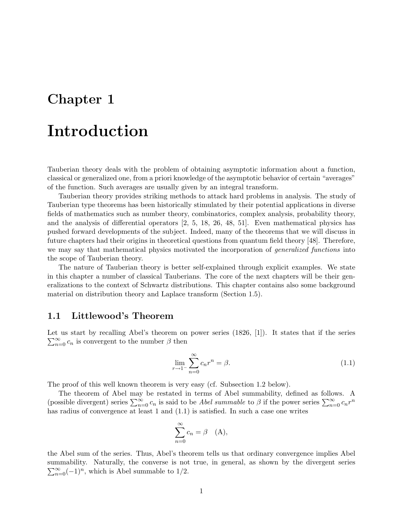## Chapter 1

# Introduction

Tauberian theory deals with the problem of obtaining asymptotic information about a function, classical or generalized one, from a priori knowledge of the asymptotic behavior of certain "averages" of the function. Such averages are usually given by an integral transform.

Tauberian theory provides striking methods to attack hard problems in analysis. The study of Tauberian type theorems has been historically stimulated by their potential applications in diverse fields of mathematics such as number theory, combinatorics, complex analysis, probability theory, and the analysis of differential operators [2, 5, 18, 26, 48, 51]. Even mathematical physics has pushed forward developments of the subject. Indeed, many of the theorems that we will discuss in future chapters had their origins in theoretical questions from quantum field theory [48]. Therefore, we may say that mathematical physics motivated the incorporation of *generalized functions* into the scope of Tauberian theory.

The nature of Tauberian theory is better self-explained through explicit examples. We state in this chapter a number of classical Tauberians. The core of the next chapters will be their generalizations to the context of Schwartz distributions. This chapter contains also some background material on distribution theory and Laplace transform (Section 1.5).

#### 1.1 Littlewood's Theorem

Let us start by recalling Abel's theorem on power series (1826, [1]). It states that if the series  $\sum_{n=0}^{\infty} c_n$  is convergent to the number  $\beta$  then

$$
\lim_{r \to 1^{-}} \sum_{n=0}^{\infty} c_n r^n = \beta. \tag{1.1}
$$

The proof of this well known theorem is very easy (cf. Subsection 1.2 below).

The theorem of Abel may be restated in terms of Abel summability, defined as follows. A (possible divergent) series  $\sum_{n=0}^{\infty} c_n$  is said to be *Abel summable* to  $\beta$  if the power series  $\sum_{n=0}^{\infty} c_n r^n$ has radius of convergence at least 1 and  $(1.1)$  is satisfied. In such a case one writes

$$
\sum_{n=0}^{\infty} c_n = \beta \quad (A),
$$

the Abel sum of the series. Thus, Abel's theorem tells us that ordinary convergence implies Abel summability. Naturally, the converse is not true, in general, as shown by the divergent series  $\sum_{n=0}^{\infty}(-1)^n$ , which is Abel summable to 1/2.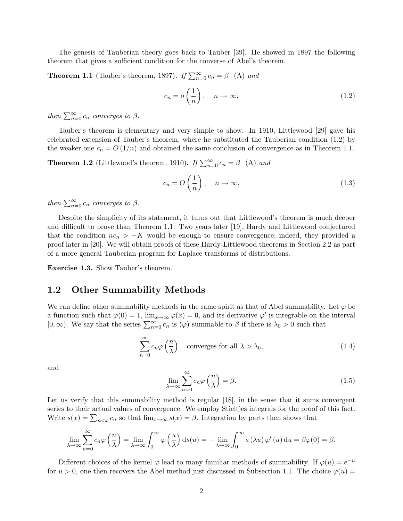The genesis of Tauberian theory goes back to Tauber [39]. He showed in 1897 the following theorem that gives a sufficient condition for the converse of Abel's theorem.

**Theorem 1.1** (Tauber's theorem, 1897). If  $\sum_{n=0}^{\infty} c_n = \beta$  (A) and

$$
c_n = o\left(\frac{1}{n}\right), \quad n \to \infty,
$$
\n(1.2)

then  $\sum_{n=0}^{\infty} c_n$  converges to  $\beta$ .

Tauber's theorem is elementary and very simple to show. In 1910, Littlewood [29] gave his celebrated extension of Tauber's theorem, where he substituted the Tauberian condition (1.2) by the weaker one  $c_n = O(1/n)$  and obtained the same conclusion of convergence as in Theorem 1.1.

**Theorem 1.2** (Littlewood's theorem, 1910). If  $\sum_{n=0}^{\infty} c_n = \beta$  (A) and

$$
c_n = O\left(\frac{1}{n}\right), \quad n \to \infty,
$$
\n(1.3)

then  $\sum_{n=0}^{\infty} c_n$  converges to  $\beta$ .

Despite the simplicity of its statement, it turns out that Littlewood's theorem is much deeper and difficult to prove than Theorem 1.1. Two years later [19], Hardy and Littlewood conjectured that the condition  $nc_n > -K$  would be enough to ensure convergence; indeed, they provided a proof later in [20]. We will obtain proofs of these Hardy-Littlewood theorems in Section 2.2 as part of a more general Tauberian program for Laplace transforms of distributions.

Exercise 1.3. Show Tauber's theorem.

#### 1.2 Other Summability Methods

We can define other summability methods in the same spirit as that of Abel summability. Let  $\varphi$  be a function such that  $\varphi(0) = 1$ ,  $\lim_{x\to\infty} \varphi(x) = 0$ , and its derivative  $\varphi'$  is integrable on the interval  $[0, \infty)$ . We say that the series  $\sum_{n=0}^{\infty} c_n$  is  $(\varphi)$  summable to  $\beta$  if there is  $\lambda_0 > 0$  such that

$$
\sum_{n=0}^{\infty} c_n \varphi\left(\frac{n}{\lambda}\right) \quad \text{converges for all } \lambda > \lambda_0,\tag{1.4}
$$

and

$$
\lim_{\lambda \to \infty} \sum_{n=0}^{\infty} c_n \varphi \left( \frac{n}{\lambda} \right) = \beta. \tag{1.5}
$$

Let us verify that this summability method is regular [18], in the sense that it sums convergent series to their actual values of convergence. We employ Stieltjes integrals for the proof of this fact. Write  $s(x) = \sum_{n \le x} c_n$  so that  $\lim_{x \to \infty} s(x) = \beta$ . Integration by parts then shows that

$$
\lim_{\lambda \to \infty} \sum_{n=0}^{\infty} c_n \varphi \left( \frac{n}{\lambda} \right) = \lim_{\lambda \to \infty} \int_0^{\infty} \varphi \left( \frac{u}{\lambda} \right) ds(u) = - \lim_{\lambda \to \infty} \int_0^{\infty} s(\lambda u) \varphi'(u) du = \beta \varphi(0) = \beta.
$$

Different choices of the kernel  $\varphi$  lead to many familiar methods of summability. If  $\varphi(u) = e^{-u}$ for  $u > 0$ , one then recovers the Abel method just discussed in Subsection 1.1. The choice  $\varphi(u)$  =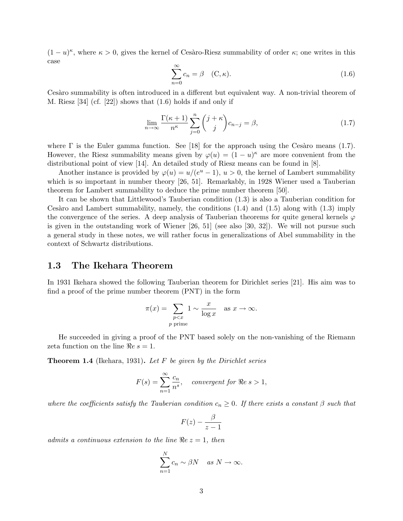$(1-u)^{\kappa}$ , where  $\kappa > 0$ , gives the kernel of Cesàro-Riesz summability of order  $\kappa$ ; one writes in this case

$$
\sum_{n=0}^{\infty} c_n = \beta \quad (\mathbf{C}, \kappa). \tag{1.6}
$$

Cesaro summability is often introduced in a different but equivalent way. A non-trivial theorem of M. Riesz [34] (cf. [22]) shows that (1.6) holds if and only if

$$
\lim_{n \to \infty} \frac{\Gamma(\kappa + 1)}{n^{\kappa}} \sum_{j=0}^{n} {j + \kappa \choose j} c_{n-j} = \beta,
$$
\n(1.7)

where  $\Gamma$  is the Euler gamma function. See [18] for the approach using the Cesàro means (1.7). However, the Riesz summability means given by  $\varphi(u) = (1 - u)^{\kappa}$  are more convenient from the distributional point of view [14]. An detailed study of Riesz means can be found in [8].

Another instance is provided by  $\varphi(u) = u/(e^u - 1), u > 0$ , the kernel of Lambert summability which is so important in number theory [26, 51]. Remarkably, in 1928 Wiener used a Tauberian theorem for Lambert summability to deduce the prime number theorem [50].

It can be shown that Littlewood's Tauberian condition (1.3) is also a Tauberian condition for Cesàro and Lambert summability, namely, the conditions  $(1.4)$  and  $(1.5)$  along with  $(1.3)$  imply the convergence of the series. A deep analysis of Tauberian theorems for quite general kernels  $\varphi$ is given in the outstanding work of Wiener [26, 51] (see also [30, 32]). We will not pursue such a general study in these notes, we will rather focus in generalizations of Abel summability in the context of Schwartz distributions.

#### 1.3 The Ikehara Theorem

In 1931 Ikehara showed the following Tauberian theorem for Dirichlet series [21]. His aim was to find a proof of the prime number theorem (PNT) in the form

$$
\pi(x) = \sum_{\substack{p < x \\ p \text{ prime}}} 1 \sim \frac{x}{\log x} \quad \text{as } x \to \infty.
$$

He succeeded in giving a proof of the PNT based solely on the non-vanishing of the Riemann zeta function on the line  $\Re e s = 1$ .

**Theorem 1.4** (Ikehara, 1931). Let F be given by the Dirichlet series

$$
F(s) = \sum_{n=1}^{\infty} \frac{c_n}{n^s}, \quad convergent \text{ for } \Re e \text{ } s > 1,
$$

where the coefficients satisfy the Tauberian condition  $c_n \geq 0$ . If there exists a constant  $\beta$  such that

$$
F(z)-\frac{\beta}{z-1}
$$

admits a continuous extension to the line  $Re z = 1$ , then

$$
\sum_{n=1}^{N} c_n \sim \beta N \quad \text{as } N \to \infty.
$$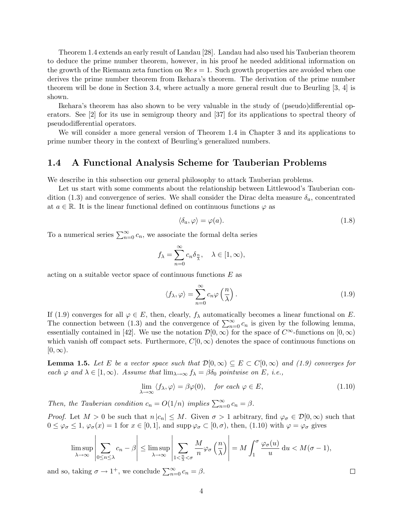Theorem 1.4 extends an early result of Landau [28]. Landau had also used his Tauberian theorem to deduce the prime number theorem, however, in his proof he needed additional information on the growth of the Riemann zeta function on  $\Rees = 1$ . Such growth properties are avoided when one derives the prime number theorem from Ikehara's theorem. The derivation of the prime number theorem will be done in Section 3.4, where actually a more general result due to Beurling [3, 4] is shown.

Ikehara's theorem has also shown to be very valuable in the study of (pseudo)differential operators. See [2] for its use in semigroup theory and [37] for its applications to spectral theory of pseudodifferential operators.

We will consider a more general version of Theorem 1.4 in Chapter 3 and its applications to prime number theory in the context of Beurling's generalized numbers.

#### 1.4 A Functional Analysis Scheme for Tauberian Problems

We describe in this subsection our general philosophy to attack Tauberian problems.

Let us start with some comments about the relationship between Littlewood's Tauberian condition (1.3) and convergence of series. We shall consider the Dirac delta measure  $\delta_a$ , concentrated at  $a \in \mathbb{R}$ . It is the linear functional defined on continuous functions  $\varphi$  as

$$
\langle \delta_a, \varphi \rangle = \varphi(a). \tag{1.8}
$$

To a numerical series  $\sum_{n=0}^{\infty} c_n$ , we associate the formal delta series

$$
f_{\lambda} = \sum_{n=0}^{\infty} c_n \delta_{\frac{n}{\lambda}}, \quad \lambda \in [1, \infty),
$$

acting on a suitable vector space of continuous functions  $E$  as

$$
\langle f_{\lambda}, \varphi \rangle = \sum_{n=0}^{\infty} c_n \varphi \left( \frac{n}{\lambda} \right). \tag{1.9}
$$

If (1.9) converges for all  $\varphi \in E$ , then, clearly,  $f_{\lambda}$  automatically becomes a linear functional on E. The connection between (1.3) and the convergence of  $\sum_{n=0}^{\infty} c_n$  is given by the following lemma, essentially contained in [42]. We use the notation  $\mathcal{D}[0,\infty)$  for the space of  $C^{\infty}$ -functions on  $[0,\infty)$ which vanish off compact sets. Furthermore,  $C[0,\infty)$  denotes the space of continuous functions on  $[0, \infty)$ .

**Lemma 1.5.** Let E be a vector space such that  $\mathcal{D}[0,\infty) \subseteq E \subset C[0,\infty)$  and (1.9) converges for each  $\varphi$  and  $\lambda \in [1,\infty)$ . Assume that  $\lim_{\lambda \to \infty} f_{\lambda} = \beta \delta_0$  pointwise on E, i.e.,

$$
\lim_{\lambda \to \infty} \langle f_{\lambda}, \varphi \rangle = \beta \varphi(0), \quad \text{for each } \varphi \in E,
$$
\n(1.10)

Then, the Tauberian condition  $c_n = O(1/n)$  implies  $\sum_{n=0}^{\infty} c_n = \beta$ .

*Proof.* Let  $M > 0$  be such that  $n |c_n| \leq M$ . Given  $\sigma > 1$  arbitrary, find  $\varphi_{\sigma} \in \mathcal{D}[0,\infty)$  such that  $0 \leq \varphi_{\sigma} \leq 1$ ,  $\varphi_{\sigma}(x) = 1$  for  $x \in [0, 1]$ , and supp  $\varphi_{\sigma} \subset [0, \sigma)$ , then,  $(1.10)$  with  $\varphi = \varphi_{\sigma}$  gives

$$
\limsup_{\lambda \to \infty} \left| \sum_{0 \le n \le \lambda} c_n - \beta \right| \le \limsup_{\lambda \to \infty} \left| \sum_{1 < \frac{n}{\lambda} < \sigma} \frac{M}{n} \varphi_{\sigma} \left( \frac{n}{\lambda} \right) \right| = M \int_1^{\sigma} \frac{\varphi_{\sigma}(u)}{u} du < M(\sigma - 1),
$$

and so, taking  $\sigma \to 1^+$ , we conclude  $\sum_{n=0}^{\infty} c_n = \beta$ .

$$
4\phantom{.0}
$$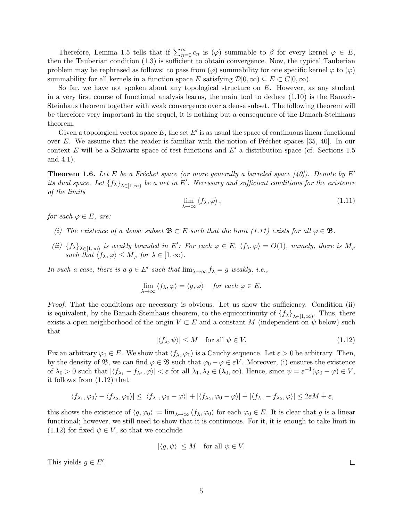Therefore, Lemma 1.5 tells that if  $\sum_{n=0}^{\infty} c_n$  is  $(\varphi)$  summable to  $\beta$  for every kernel  $\varphi \in E$ , then the Tauberian condition (1.3) is sufficient to obtain convergence. Now, the typical Tauberian problem may be rephrased as follows: to pass from  $(\varphi)$  summability for one specific kernel  $\varphi$  to  $(\varphi)$ summability for all kernels in a function space E satisfying  $\mathcal{D}[0,\infty) \subseteq E \subset C[0,\infty)$ .

So far, we have not spoken about any topological structure on  $E$ . However, as any student in a very first course of functional analysis learns, the main tool to deduce (1.10) is the Banach-Steinhaus theorem together with weak convergence over a dense subset. The following theorem will be therefore very important in the sequel, it is nothing but a consequence of the Banach-Steinhaus theorem.

Given a topological vector space  $E$ , the set  $E'$  is as usual the space of continuous linear functional over  $E$ . We assume that the reader is familiar with the notion of Fréchet spaces [35, 40]. In our context E will be a Schwartz space of test functions and  $E'$  a distribution space (cf. Sections 1.5 and 4.1).

**Theorem 1.6.** Let E be a Fréchet space (or more generally a barreled space [40]). Denote by E' its dual space. Let  $\{f_{\lambda}\}_{\lambda\in[1,\infty)}$  be a net in E'. Necessary and sufficient conditions for the existence of the limits

$$
\lim_{\lambda \to \infty} \langle f_{\lambda}, \varphi \rangle, \tag{1.11}
$$

for each  $\varphi \in E$ , are:

- (i) The existence of a dense subset  $\mathfrak{B} \subset E$  such that the limit (1.11) exists for all  $\varphi \in \mathfrak{B}$ .
- (ii)  $\{f_{\lambda}\}_{\lambda\in[1,\infty)}$  is weakly bounded in E': For each  $\varphi \in E$ ,  $\langle f_{\lambda}, \varphi \rangle = O(1)$ , namely, there is  $M_{\varphi}$ such that  $\langle f_\lambda, \varphi \rangle \leq M_\varphi$  for  $\lambda \in [1, \infty)$ .

In such a case, there is a  $g \in E'$  such that  $\lim_{\lambda \to \infty} f_{\lambda} = g$  weakly, i.e.,

$$
\lim_{\lambda \to \infty} \langle f_{\lambda}, \varphi \rangle = \langle g, \varphi \rangle \quad \text{for each } \varphi \in E.
$$

Proof. That the conditions are necessary is obvious. Let us show the sufficiency. Condition (ii) is equivalent, by the Banach-Steinhaus theorem, to the equicontinuity of  $\{f_{\lambda}\}_{\lambda\in[1,\infty)}$ . Thus, there exists a open neighborhood of the origin  $V \subset E$  and a constant M (independent on  $\psi$  below) such that

$$
|\langle f_{\lambda}, \psi \rangle| \le M \quad \text{for all } \psi \in V. \tag{1.12}
$$

Fix an arbitrary  $\varphi_0 \in E$ . We show that  $\langle f_\lambda, \varphi_0 \rangle$  is a Cauchy sequence. Let  $\varepsilon > 0$  be arbitrary. Then, by the density of B, we can find  $\varphi \in \mathfrak{B}$  such that  $\varphi_0 - \varphi \in \varepsilon V$ . Moreover, (i) ensures the existence of  $\lambda_0 > 0$  such that  $|\langle f_{\lambda_1} - f_{\lambda_2}, \varphi \rangle| < \varepsilon$  for all  $\lambda_1, \lambda_2 \in (\lambda_0, \infty)$ . Hence, since  $\psi = \varepsilon^{-1}(\varphi_0 - \varphi) \in V$ , it follows from (1.12) that

$$
|\langle f_{\lambda_1}, \varphi_0 \rangle - \langle f_{\lambda_2}, \varphi_0 \rangle| \leq |\langle f_{\lambda_1}, \varphi_0 - \varphi \rangle| + |\langle f_{\lambda_2}, \varphi_0 - \varphi \rangle| + |\langle f_{\lambda_1} - f_{\lambda_2}, \varphi \rangle| \leq 2\varepsilon M + \varepsilon,
$$

this shows the existence of  $\langle g, \varphi_0 \rangle := \lim_{\lambda \to \infty} \langle f_\lambda, \varphi_0 \rangle$  for each  $\varphi_0 \in E$ . It is clear that g is a linear functional; however, we still need to show that it is continuous. For it, it is enough to take limit in (1.12) for fixed  $\psi \in V$ , so that we conclude

$$
|\langle g, \psi \rangle| \leq M
$$
 for all  $\psi \in V$ .

This yields  $g \in E'$ .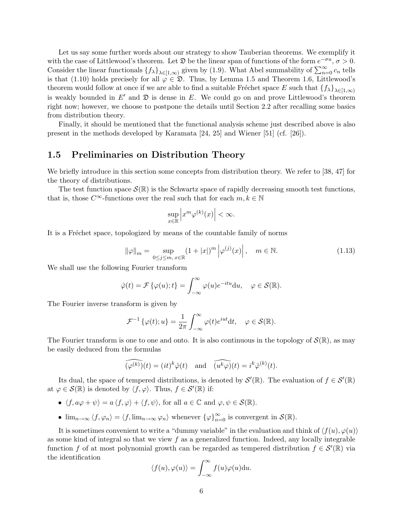Let us say some further words about our strategy to show Tauberian theorems. We exemplify it with the case of Littlewood's theorem. Let  $\mathfrak D$  be the linear span of functions of the form  $e^{-\sigma u}$ ,  $\sigma > 0$ . Consider the linear functionals  $\{f_{\lambda}\}_{\lambda\in[1,\infty)}$  given by (1.9). What Abel summability of  $\sum_{n=0}^{\infty} c_n$  tells is that (1.10) holds precisely for all  $\varphi \in \mathfrak{D}$ . Thus, by Lemma 1.5 and Theorem 1.6, Littlewood's theorem would follow at once if we are able to find a suitable Fréchet space E such that  ${f_\lambda}_{\lambda \in [1,\infty)}$ is weakly bounded in  $E'$  and  $\mathfrak D$  is dense in E. We could go on and prove Littlewood's theorem right now; however, we choose to postpone the details until Section 2.2 after recalling some basics from distribution theory.

Finally, it should be mentioned that the functional analysis scheme just described above is also present in the methods developed by Karamata [24, 25] and Wiener [51] (cf. [26]).

### 1.5 Preliminaries on Distribution Theory

We briefly introduce in this section some concepts from distribution theory. We refer to [38, 47] for the theory of distributions.

The test function space  $\mathcal{S}(\mathbb{R})$  is the Schwartz space of rapidly decreasing smooth test functions, that is, those  $C^{\infty}$ -functions over the real such that for each  $m, k \in \mathbb{N}$ 

$$
\sup_{x \in \mathbb{R}} \left| x^m \varphi^{(k)}(x) \right| < \infty.
$$

It is a Fréchet space, topologized by means of the countable family of norms

$$
\|\varphi\|_{m} = \sup_{0 \le j \le m, x \in \mathbb{R}} (1 + |x|)^{m} \left| \varphi^{(j)}(x) \right|, \quad m \in \mathbb{N}.
$$
 (1.13)

We shall use the following Fourier transform

$$
\hat{\varphi}(t) = \mathcal{F}\{\varphi(u); t\} = \int_{-\infty}^{\infty} \varphi(u)e^{-itu} \mathrm{d}u, \quad \varphi \in \mathcal{S}(\mathbb{R}).
$$

The Fourier inverse transform is given by

$$
\mathcal{F}^{-1}\left\{\varphi(t);u\right\} = \frac{1}{2\pi} \int_{-\infty}^{\infty} \varphi(t)e^{iut}dt, \quad \varphi \in \mathcal{S}(\mathbb{R}).
$$

The Fourier transform is one to one and onto. It is also continuous in the topology of  $\mathcal{S}(\mathbb{R})$ , as may be easily deduced from the formulas

$$
\widehat{(\varphi^{(k)})}(t) = (it)^k \hat{\varphi}(t) \quad \text{and} \quad \widehat{(u^k \varphi)}(t) = i^k \hat{\varphi}^{(k)}(t).
$$

Its dual, the space of tempered distributions, is denoted by  $\mathcal{S}'(\mathbb{R})$ . The evaluation of  $f \in \mathcal{S}'(\mathbb{R})$ at  $\varphi \in \mathcal{S}(\mathbb{R})$  is denoted by  $\langle f, \varphi \rangle$ . Thus,  $f \in \mathcal{S}'(\mathbb{R})$  if:

- $\langle f, a\varphi + \psi \rangle = a \langle f, \varphi \rangle + \langle f, \psi \rangle$ , for all  $a \in \mathbb{C}$  and  $\varphi, \psi \in \mathcal{S}(\mathbb{R})$ .
- $\lim_{n\to\infty} \langle f, \varphi_n \rangle = \langle f, \lim_{n\to\infty} \varphi_n \rangle$  whenever  ${\{\varphi\}}_{n=0}^{\infty}$  is convergent in  $\mathcal{S}(\mathbb{R})$ .

It is sometimes convenient to write a "dummy variable" in the evaluation and think of  $\langle f(u), \varphi(u)\rangle$ as some kind of integral so that we view  $f$  as a generalized function. Indeed, any locally integrable function f of at most polynomial growth can be regarded as tempered distribution  $f \in \mathcal{S}'(\mathbb{R})$  via the identification

$$
\langle f(u), \varphi(u) \rangle = \int_{-\infty}^{\infty} f(u)\varphi(u) \mathrm{d}u.
$$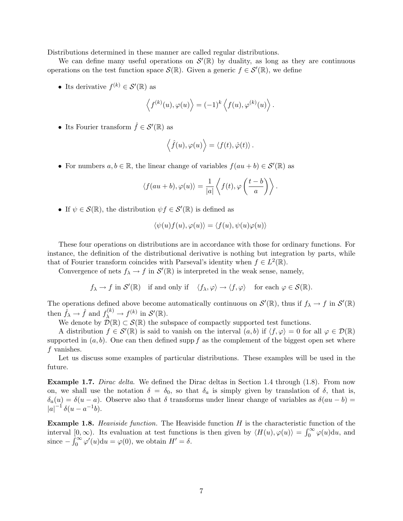Distributions determined in these manner are called regular distributions.

We can define many useful operations on  $\mathcal{S}'(\mathbb{R})$  by duality, as long as they are continuous operations on the test function space  $\mathcal{S}(\mathbb{R})$ . Given a generic  $f \in \mathcal{S}'(\mathbb{R})$ , we define

• Its derivative  $f^{(k)} \in \mathcal{S}'(\mathbb{R})$  as

$$
\langle f^{(k)}(u), \varphi(u) \rangle = (-1)^k \langle f(u), \varphi^{(k)}(u) \rangle.
$$

• Its Fourier transform  $\hat{f} \in \mathcal{S}'(\mathbb{R})$  as

$$
\langle \hat{f}(u), \varphi(u) \rangle = \langle f(t), \hat{\varphi}(t) \rangle.
$$

• For numbers  $a, b \in \mathbb{R}$ , the linear change of variables  $f(au + b) \in \mathcal{S}'(\mathbb{R})$  as

$$
\langle f(au+b), \varphi(u) \rangle = \frac{1}{|a|} \left\langle f(t), \varphi\left(\frac{t-b}{a}\right) \right\rangle.
$$

• If  $\psi \in \mathcal{S}(\mathbb{R})$ , the distribution  $\psi f \in \mathcal{S}'(\mathbb{R})$  is defined as

$$
\langle \psi(u)f(u), \varphi(u) \rangle = \langle f(u), \psi(u)\varphi(u) \rangle
$$

These four operations on distributions are in accordance with those for ordinary functions. For instance, the definition of the distributional derivative is nothing but integration by parts, while that of Fourier transform coincides with Parseval's identity when  $f \in L^2(\mathbb{R})$ .

Convergence of nets  $f_{\lambda} \to f$  in  $\mathcal{S}'(\mathbb{R})$  is interpreted in the weak sense, namely,

 $f_{\lambda} \to f$  in  $\mathcal{S}'(\mathbb{R})$  if and only if  $\langle f_{\lambda}, \varphi \rangle \to \langle f, \varphi \rangle$  for each  $\varphi \in \mathcal{S}(\mathbb{R})$ .

The operations defined above become automatically continuous on  $\mathcal{S}'(\mathbb{R})$ , thus if  $f_{\lambda} \to f$  in  $\mathcal{S}'(\mathbb{R})$ then  $\hat{f}_{\lambda} \to \hat{f}$  and  $f_{\lambda}^{(k)} \to f^{(k)}$  in  $\mathcal{S}'(\mathbb{R})$ .

We denote by  $\mathcal{D}(\mathbb{R}) \subset \mathcal{S}(\mathbb{R})$  the subspace of compactly supported test functions.

A distribution  $f \in \mathcal{S}'(\mathbb{R})$  is said to vanish on the interval  $(a, b)$  if  $\langle f, \varphi \rangle = 0$  for all  $\varphi \in \mathcal{D}(\mathbb{R})$ supported in  $(a, b)$ . One can then defined supp f as the complement of the biggest open set where f vanishes.

Let us discuss some examples of particular distributions. These examples will be used in the future.

**Example 1.7.** Dirac delta. We defined the Dirac deltas in Section 1.4 through (1.8). From now on, we shall use the notation  $\delta = \delta_0$ , so that  $\delta_a$  is simply given by translation of  $\delta$ , that is,  $\delta_a(u) = \delta(u-a)$ . Observe also that  $\delta$  transforms under linear change of variables as  $\delta(au-b)$  $|a|^{-1} \delta(u-a^{-1}b).$ 

**Example 1.8.** Heaviside function. The Heaviside function  $H$  is the characteristic function of the interval  $[0, \infty)$ . Its evaluation at test functions is then given by  $\langle H(u), \varphi(u) \rangle = \int_0^\infty \varphi(u) \mathrm{d}u$ , and since  $-\int_0^\infty \varphi'(u) \mathrm{d}u = \varphi(0)$ , we obtain  $H' = \delta$ .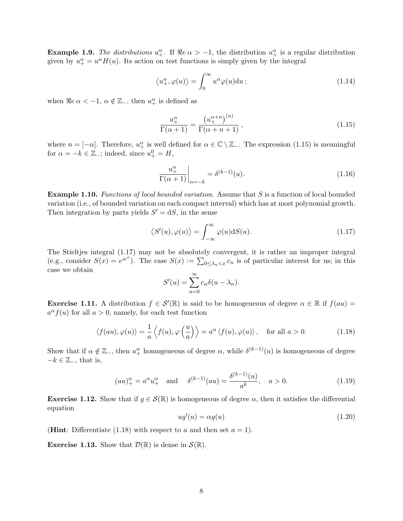**Example 1.9.** The distributions  $u_+^{\alpha}$ . If  $\Re e \alpha > -1$ , the distribution  $u_+^{\alpha}$  is a regular distribution given by  $u_{+}^{\alpha} = u^{\alpha}H(u)$ . Its action on test functions is simply given by the integral

$$
\langle u_+^{\alpha}, \varphi(u) \rangle = \int_0^{\infty} u^{\alpha} \varphi(u) \mathrm{d}u ; \qquad (1.14)
$$

when  $\Re e \ \alpha < -1, \ \alpha \notin \mathbb{Z}_-$ , then  $u^{\alpha}_{+}$  is defined as

$$
\frac{u_+^{\alpha}}{\Gamma(\alpha+1)} = \frac{\left(u_+^{\alpha+n}\right)^{(n)}}{\Gamma(\alpha+n+1)},\tag{1.15}
$$

where  $n = [-\alpha]$ . Therefore,  $u_+^{\alpha}$  is well defined for  $\alpha \in \mathbb{C} \setminus \mathbb{Z}_-$ . The expression (1.15) is meaningful for  $\alpha = -k \in \mathbb{Z}$ <sub>-</sub>; indeed, since  $u^0_+ = H$ ,

$$
\left. \frac{u_+^{\alpha}}{\Gamma(\alpha+1)} \right|_{\alpha=-k} = \delta^{(k-1)}(u). \tag{1.16}
$$

**Example 1.10.** Functions of local bounded variation. Assume that S is a function of local bounded variation (i.e., of bounded variation on each compact interval) which has at most polynomial growth. Then integration by parts yields  $S' = dS$ , in the sense

$$
\langle S'(u), \varphi(u) \rangle = \int_{-\infty}^{\infty} \varphi(u) dS(u). \tag{1.17}
$$

The Stieltjes integral (1.17) may not be absolutely convergent, it is rather an improper integral (e.g., consider  $S(x) = e^{ie^x}$ ). The case  $S(x) := \sum_{0 \leq \lambda_n < x} c_n$  is of particular interest for us; in this case we obtain

$$
S'(u) = \sum_{n=0}^{\infty} c_n \delta(u - \lambda_n).
$$

**Exercise 1.11.** A distribution  $f \in \mathcal{S}'(\mathbb{R})$  is said to be homogeneous of degree  $\alpha \in \mathbb{R}$  if  $f(au)$  $a^{\alpha} f(u)$  for all  $a > 0$ , namely, for each test function

$$
\langle f(au), \varphi(u) \rangle = \frac{1}{a} \left\langle f(u), \varphi\left(\frac{u}{a}\right) \right\rangle = a^{\alpha} \left\langle f(u), \varphi(u) \right\rangle, \quad \text{for all } a > 0. \tag{1.18}
$$

Show that if  $\alpha \notin \mathbb{Z}_-$ , then  $u_+^{\alpha}$  homogeneous of degree  $\alpha$ , while  $\delta^{(k-1)}(u)$  is homogeneous of degree  $-k \in \mathbb{Z}_{-}$ , that is,

$$
(au)_+^\alpha = a^\alpha u_+^\alpha
$$
 and  $\delta^{(k-1)}(au) = \frac{\delta^{(k-1)}(u)}{a^k}$ ,  $a > 0$ . (1.19)

**Exercise 1.12.** Show that if  $q \in \mathcal{S}(\mathbb{R})$  is homogeneous of degree  $\alpha$ , then it satisfies the differential equation

$$
ug'(u) = \alpha g(u) \tag{1.20}
$$

(**Hint**: Differentiate (1.18) with respect to a and then set  $a = 1$ ).

**Exercise 1.13.** Show that  $\mathcal{D}(\mathbb{R})$  is dense in  $\mathcal{S}(\mathbb{R})$ .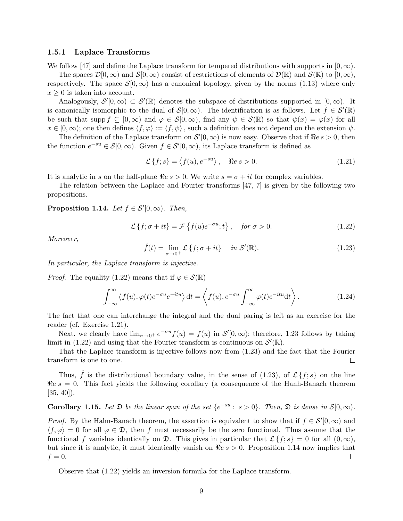#### 1.5.1 Laplace Transforms

We follow [47] and define the Laplace transform for tempered distributions with supports in [0,  $\infty$ ).

The spaces  $\mathcal{D}[0,\infty)$  and  $\mathcal{S}[0,\infty)$  consist of restrictions of elements of  $\mathcal{D}(\mathbb{R})$  and  $\mathcal{S}(\mathbb{R})$  to  $[0,\infty)$ , respectively. The space  $\mathcal{S}[0,\infty)$  has a canonical topology, given by the norms (1.13) where only  $x \geq 0$  is taken into account.

Analogously,  $\mathcal{S}'[0,\infty) \subset \mathcal{S}'(\mathbb{R})$  denotes the subspace of distributions supported in  $[0,\infty)$ . It is canonically isomorphic to the dual of  $S[0,\infty)$ . The identification is as follows. Let  $f \in S'(\mathbb{R})$ be such that supp  $f \subseteq [0,\infty)$  and  $\varphi \in \mathcal{S}[0,\infty)$ , find any  $\psi \in \mathcal{S}(\mathbb{R})$  so that  $\psi(x) = \varphi(x)$  for all  $x \in [0, \infty)$ ; one then defines  $\langle f, \varphi \rangle := \langle f, \psi \rangle$ , such a definition does not depend on the extension  $\psi$ .

The definition of the Laplace transform on  $\mathcal{S}'[0,\infty)$  is now easy. Observe that if  $\Re e s > 0$ , then the function  $e^{-su} \in \mathcal{S}[0,\infty)$ . Given  $f \in \mathcal{S}'[0,\infty)$ , its Laplace transform is defined as

$$
\mathcal{L}\left\{f;s\right\} = \left\langle f(u), e^{-su} \right\rangle, \quad \Re e \ s > 0. \tag{1.21}
$$

It is analytic in s on the half-plane  $\Re e s > 0$ . We write  $s = \sigma + it$  for complex variables.

The relation between the Laplace and Fourier transforms [47, 7] is given by the following two propositions.

**Proposition 1.14.** Let  $f \in \mathcal{S}'[0,\infty)$ . Then,

$$
\mathcal{L}\left\{f;\sigma+it\right\} = \mathcal{F}\left\{f(u)e^{-\sigma u};t\right\}, \quad \text{for } \sigma > 0. \tag{1.22}
$$

Moreover,

$$
\hat{f}(t) = \lim_{\sigma \to 0^+} \mathcal{L}\left\{f; \sigma + it\right\} \quad \text{in } \mathcal{S}'(\mathbb{R}). \tag{1.23}
$$

In particular, the Laplace transform is injective.

*Proof.* The equality (1.22) means that if  $\varphi \in \mathcal{S}(\mathbb{R})$ 

$$
\int_{-\infty}^{\infty} \langle f(u), \varphi(t)e^{-\sigma u}e^{-itu}\rangle dt = \left\langle f(u), e^{-\sigma u} \int_{-\infty}^{\infty} \varphi(t)e^{-itu}dt\right\rangle.
$$
 (1.24)

The fact that one can interchange the integral and the dual paring is left as an exercise for the reader (cf. Exercise 1.21).

Next, we clearly have  $\lim_{\sigma\to 0^+} e^{-\sigma u} f(u) = f(u)$  in  $\mathcal{S}'[0,\infty)$ ; therefore, 1.23 follows by taking limit in (1.22) and using that the Fourier transform is continuous on  $\mathcal{S}'(\mathbb{R})$ .

That the Laplace transform is injective follows now from (1.23) and the fact that the Fourier transform is one to one.  $\Box$ 

Thus, f is the distributional boundary value, in the sense of (1.23), of  $\mathcal{L}{f;s}$  on the line  $Re s = 0$ . This fact yields the following corollary (a consequence of the Hanh-Banach theorem  $[35, 40]$ .

**Corollary 1.15.** Let  $\mathfrak D$  be the linear span of the set  $\{e^{-su}: s > 0\}$ . Then,  $\mathfrak D$  is dense in  $\mathcal S[0,\infty)$ .

*Proof.* By the Hahn-Banach theorem, the assertion is equivalent to show that if  $f \in \mathcal{S}'[0,\infty)$  and  $\langle f, \varphi \rangle = 0$  for all  $\varphi \in \mathfrak{D}$ , then f must necessarily be the zero functional. Thus assume that the functional f vanishes identically on  $\mathfrak{D}$ . This gives in particular that  $\mathcal{L}{f; s} = 0$  for all  $(0, \infty)$ , but since it is analytic, it must identically vanish on  $\Re e s > 0$ . Proposition 1.14 now implies that  $f=0.$  $\Box$ 

Observe that (1.22) yields an inversion formula for the Laplace transform.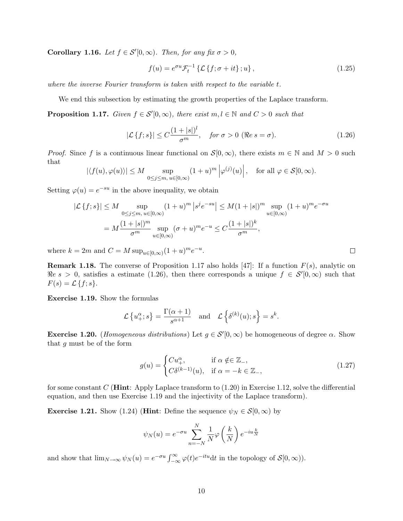**Corollary 1.16.** Let  $f \in \mathcal{S}'[0,\infty)$ . Then, for any fix  $\sigma > 0$ ,

$$
f(u) = e^{\sigma u} \mathcal{F}_t^{-1} \left\{ \mathcal{L} \left\{ f; \sigma + it \right\}; u \right\},\tag{1.25}
$$

where the inverse Fourier transform is taken with respect to the variable t.

We end this subsection by estimating the growth properties of the Laplace transform.

**Proposition 1.17.** Given  $f \in S'(0, \infty)$ , there exist  $m, l \in \mathbb{N}$  and  $C > 0$  such that

$$
|\mathcal{L}\left\{f;s\right\}| \le C \frac{(1+|s|)^l}{\sigma^m}, \quad \text{for } \sigma > 0 \text{ (\Re e s = \sigma).} \tag{1.26}
$$

*Proof.* Since f is a continuous linear functional on  $S[0,\infty)$ , there exists  $m \in \mathbb{N}$  and  $M > 0$  such that

$$
|\langle f(u), \varphi(u) \rangle| \le M \sup_{0 \le j \le m, u \in [0,\infty)} (1+u)^m |\varphi^{(j)}(u)|
$$
, for all  $\varphi \in \mathcal{S}[0,\infty)$ .

Setting  $\varphi(u) = e^{-su}$  in the above inequality, we obtain

$$
|\mathcal{L}\{f;s\}| \le M \sup_{0 \le j \le m, u \in [0,\infty)} (1+u)^m |s^j e^{-su}| \le M(1+|s|)^m \sup_{u \in [0,\infty)} (1+u)^m e^{-\sigma u}
$$
  
=  $M \frac{(1+|s|)^m}{\sigma^m} \sup_{u \in [0,\infty)} (\sigma+u)^m e^{-u} \le C \frac{(1+|s|)^k}{\sigma^m},$ 

where  $k = 2m$  and  $C = M \sup_{u \in [0,\infty)} (1+u)^m e^{-u}$ .

**Remark 1.18.** The converse of Proposition 1.17 also holds [47]: If a function  $F(s)$ , analytic on  $\Re e \ s > 0$ , satisfies a estimate (1.26), then there corresponds a unique  $f \in \mathcal{S}'[0,\infty)$  such that  $F(s) = \mathcal{L} \{f; s\}.$ 

Exercise 1.19. Show the formulas

$$
\mathcal{L}\left\{u^{\alpha}_{+};s\right\} = \frac{\Gamma(\alpha+1)}{s^{\alpha+1}} \text{ and } \mathcal{L}\left\{\delta^{(k)}(u);s\right\} = s^{k}.
$$

**Exercise 1.20.** (Homogeneous distributions) Let  $g \in S'(0, \infty)$  be homogeneous of degree  $\alpha$ . Show that g must be of the form

$$
g(u) = \begin{cases} Cu_+^{\alpha}, & \text{if } \alpha \notin \in \mathbb{Z}_-, \\ C\delta^{(k-1)}(u), & \text{if } \alpha = -k \in \mathbb{Z}_-, \end{cases}
$$
(1.27)

for some constant C (**Hint:** Apply Laplace transform to  $(1.20)$  in Exercise 1.12, solve the differential equation, and then use Exercise 1.19 and the injectivity of the Laplace transform).

**Exercise 1.21.** Show (1.24) (**Hint**: Define the sequence  $\psi_N \in \mathcal{S}[0,\infty)$  by

$$
\psi_N(u) = e^{-\sigma u} \sum_{n=-N}^{N} \frac{1}{N} \varphi\left(\frac{k}{N}\right) e^{-iu\frac{k}{N}}
$$

and show that  $\lim_{N\to\infty}\psi_N(u)=e^{-\sigma u}\int_{-\infty}^{\infty}\varphi(t)e^{-itu}dt$  in the topology of  $\mathcal{S}[0,\infty)$ ).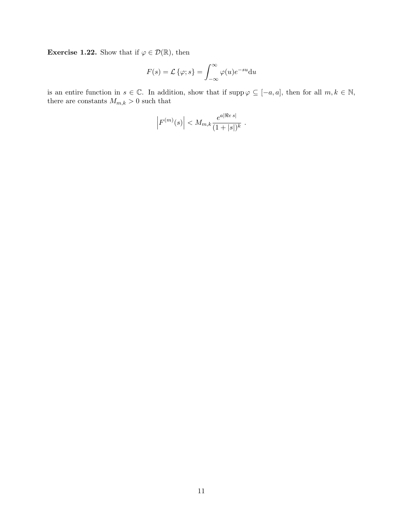**Exercise 1.22.** Show that if  $\varphi \in \mathcal{D}(\mathbb{R})$ , then

$$
F(s) = \mathcal{L}\{\varphi; s\} = \int_{-\infty}^{\infty} \varphi(u)e^{-su} \mathrm{d}u
$$

is an entire function in  $s \in \mathbb{C}$ . In addition, show that if supp  $\varphi \subseteq [-a, a]$ , then for all  $m, k \in \mathbb{N}$ , there are constants  $M_{m,k} > 0$  such that

$$
\Big|F^{(m)}(s)\Big| < M_{m,k} \frac{e^{a|\Re e\,s|}}{(1+|s|)^k} \ .
$$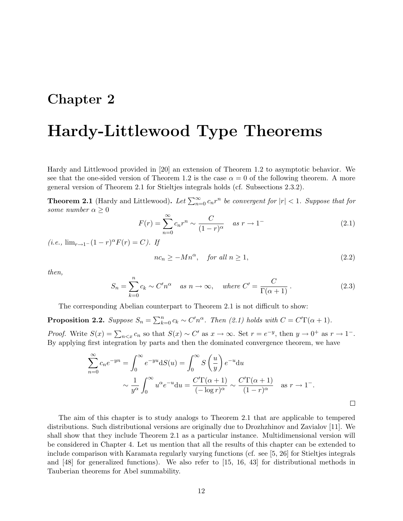## Chapter 2

# Hardy-Littlewood Type Theorems

Hardy and Littlewood provided in [20] an extension of Theorem 1.2 to asymptotic behavior. We see that the one-sided version of Theorem 1.2 is the case  $\alpha = 0$  of the following theorem. A more general version of Theorem 2.1 for Stieltjes integrals holds (cf. Subsections 2.3.2).

**Theorem 2.1** (Hardy and Littlewood). Let  $\sum_{n=0}^{\infty} c_n r^n$  be convergent for  $|r| < 1$ . Suppose that for some number  $\alpha \geq 0$ 

$$
F(r) = \sum_{n=0}^{\infty} c_n r^n \sim \frac{C}{(1-r)^\alpha} \quad \text{as } r \to 1^-
$$
 (2.1)

 $(i.e., \lim_{r \to 1^-} (1-r)^{\alpha} F(r) = C$ . If

$$
nc_n \ge -Mn^{\alpha}, \quad \text{for all } n \ge 1,
$$
\n<sup>(2.2)</sup>

then,

$$
S_n = \sum_{k=0}^{n} c_k \sim C'n^{\alpha} \quad \text{as } n \to \infty, \quad \text{where } C' = \frac{C}{\Gamma(\alpha+1)}.
$$
 (2.3)

The corresponding Abelian counterpart to Theorem 2.1 is not difficult to show:

**Proposition 2.2.** Suppose  $S_n = \sum_{k=0}^n c_k \sim C'n^{\alpha}$ . Then (2.1) holds with  $C = C'\Gamma(\alpha + 1)$ . *Proof.* Write  $S(x) = \sum_{n \le x} c_n$  so that  $S(x) \sim C'$  as  $x \to \infty$ . Set  $r = e^{-y}$ , then  $y \to 0^+$  as  $r \to 1^-$ .

By applying first integration by parts and then the dominated convergence theorem, we have

$$
\sum_{n=0}^{\infty} c_n e^{-yn} = \int_0^{\infty} e^{-yu} dS(u) = \int_0^{\infty} S\left(\frac{u}{y}\right) e^{-u} du
$$
  
 
$$
\sim \frac{1}{y^{\alpha}} \int_0^{\infty} u^{\alpha} e^{-u} du = \frac{C'\Gamma(\alpha+1)}{(-\log r)^{\alpha}} \sim \frac{C'\Gamma(\alpha+1)}{(1-r)^{\alpha}} \text{ as } r \to 1^-.
$$

The aim of this chapter is to study analogs to Theorem 2.1 that are applicable to tempered distributions. Such distributional versions are originally due to Drozhzhinov and Zavialov [11]. We shall show that they include Theorem 2.1 as a particular instance. Multidimensional version will be considered in Chapter 4. Let us mention that all the results of this chapter can be extended to include comparison with Karamata regularly varying functions (cf. see [5, 26] for Stieltjes integrals and [48] for generalized functions). We also refer to [15, 16, 43] for distributional methods in Tauberian theorems for Abel summability.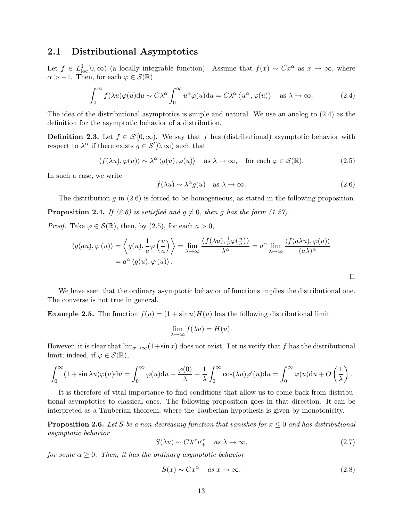#### 2.1 Distributional Asymptotics

Let  $f \in L^1_{loc}[0,\infty)$  (a locally integrable function). Assume that  $f(x) \sim Cx^{\alpha}$  as  $x \to \infty$ , where  $\alpha > -1$ . Then, for each  $\varphi \in \mathcal{S}(\mathbb{R})$ 

$$
\int_0^\infty f(\lambda u)\varphi(u)du \sim C\lambda^\alpha \int_0^\infty u^\alpha \varphi(u)du = C\lambda^\alpha \langle u_+^\alpha, \varphi(u) \rangle \quad \text{as } \lambda \to \infty. \tag{2.4}
$$

The idea of the distributional asymptotics is simple and natural. We use an analog to (2.4) as the definition for the asymptotic behavior of a distribution.

**Definition 2.3.** Let  $f \in \mathcal{S}'[0,\infty)$ . We say that f has (distributional) asymptotic behavior with respect to  $\lambda^{\alpha}$  if there exists  $g \in \mathcal{S}'[0,\infty)$  such that

$$
\langle f(\lambda u), \varphi(u) \rangle \sim \lambda^{\alpha} \langle g(u), \varphi(u) \rangle \quad \text{as } \lambda \to \infty, \quad \text{for each } \varphi \in \mathcal{S}(\mathbb{R}). \tag{2.5}
$$

In such a case, we write

$$
f(\lambda u) \sim \lambda^{\alpha} g(u) \quad \text{as } \lambda \to \infty. \tag{2.6}
$$

 $\Box$ 

The distribution g in  $(2.6)$  is forced to be homogeneous, as stated in the following proposition. **Proposition 2.4.** If (2.6) is satisfied and  $g \neq 0$ , then g has the form (1.27).

*Proof.* Take  $\varphi \in \mathcal{S}(\mathbb{R})$ , then, by (2.5), for each  $a > 0$ ,

$$
\langle g(au), \varphi(u) \rangle = \left\langle g(u), \frac{1}{a} \varphi\left(\frac{u}{a}\right) \right\rangle = \lim_{\lambda \to \infty} \frac{\left\langle f(\lambda u), \frac{1}{a} \varphi\left(\frac{u}{a}\right) \right\rangle}{\lambda^{\alpha}} = a^{\alpha} \lim_{\lambda \to \infty} \frac{\left\langle f(a\lambda u), \varphi(u) \right\rangle}{(a\lambda)^{\alpha}}
$$

$$
= a^{\alpha} \left\langle g(u), \varphi(u) \right\rangle.
$$

We have seen that the ordinary asymptotic behavior of functions implies the distributional one. The converse is not true in general.

**Example 2.5.** The function  $f(u) = (1 + \sin u)H(u)$  has the following distributional limit

$$
\lim_{\lambda \to \infty} f(\lambda u) = H(u).
$$

However, it is clear that  $\lim_{x\to\infty}(1+\sin x)$  does not exist. Let us verify that f has the distributional limit; indeed, if  $\varphi \in \mathcal{S}(\mathbb{R}),$ 

$$
\int_0^\infty (1+\sin \lambda u)\varphi(u)du = \int_0^\infty \varphi(u)du + \frac{\varphi(0)}{\lambda} + \frac{1}{\lambda}\int_0^\infty \cos(\lambda u)\varphi'(u)du = \int_0^\infty \varphi(u)du + O\left(\frac{1}{\lambda}\right).
$$

It is therefore of vital importance to find conditions that allow us to come back from distributional asymptotics to classical ones. The following proposition goes in that direction. It can be interpreted as a Tauberian theorem, where the Tauberian hypothesis is given by monotonicity.

**Proposition 2.6.** Let S be a non-decreasing function that vanishes for  $x \leq 0$  and has distributional asymptotic behavior

$$
S(\lambda u) \sim C\lambda^{\alpha} u_{+}^{\alpha} \quad \text{as } \lambda \to \infty,
$$
\n(2.7)

for some  $\alpha \geq 0$ . Then, it has the ordinary asymptotic behavior

$$
S(x) \sim Cx^{\alpha} \quad \text{as } x \to \infty. \tag{2.8}
$$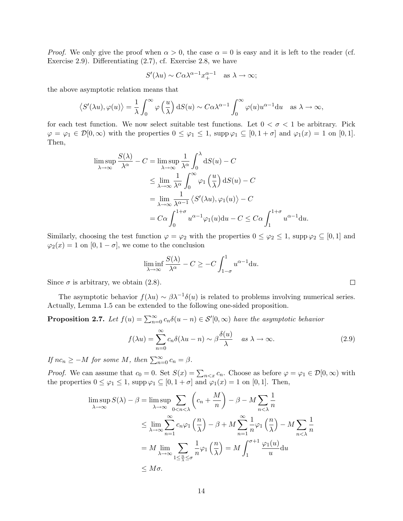*Proof.* We only give the proof when  $\alpha > 0$ , the case  $\alpha = 0$  is easy and it is left to the reader (cf. Exercise 2.9). Differentiating (2.7), cf. Exercise 2.8, we have

$$
S'(\lambda u) \sim C\alpha \lambda^{\alpha-1} x_+^{\alpha-1}
$$
 as  $\lambda \to \infty$ ;

the above asymptotic relation means that

$$
\langle S'(\lambda u), \varphi(u) \rangle = \frac{1}{\lambda} \int_0^\infty \varphi\left(\frac{u}{\lambda}\right) dS(u) \sim C\alpha \lambda^{\alpha-1} \int_0^\infty \varphi(u) u^{\alpha-1} du \text{ as } \lambda \to \infty,
$$

for each test function. We now select suitable test functions. Let  $0 < \sigma < 1$  be arbitrary. Pick  $\varphi = \varphi_1 \in \mathcal{D}[0,\infty)$  with the properties  $0 \leq \varphi_1 \leq 1$ , supp $\varphi_1 \subseteq [0,1+\sigma]$  and  $\varphi_1(x) = 1$  on  $[0,1]$ . Then,

$$
\limsup_{\lambda \to \infty} \frac{S(\lambda)}{\lambda^{\alpha}} - C = \limsup_{\lambda \to \infty} \frac{1}{\lambda^{\alpha}} \int_{0}^{\lambda} dS(u) - C
$$
\n
$$
\leq \lim_{\lambda \to \infty} \frac{1}{\lambda^{\alpha}} \int_{0}^{\infty} \varphi_{1}\left(\frac{u}{\lambda}\right) dS(u) - C
$$
\n
$$
= \lim_{\lambda \to \infty} \frac{1}{\lambda^{\alpha-1}} \left\langle S'(\lambda u), \varphi_{1}(u) \right\rangle - C
$$
\n
$$
= C\alpha \int_{0}^{1+\sigma} u^{\alpha-1} \varphi_{1}(u) du - C \leq C\alpha \int_{1}^{1+\sigma} u^{\alpha-1} du.
$$

Similarly, choosing the test function  $\varphi = \varphi_2$  with the properties  $0 \leq \varphi_2 \leq 1$ , supp  $\varphi_2 \subseteq [0,1]$  and  $\varphi_2(x) = 1$  on  $[0, 1 - \sigma]$ , we come to the conclusion

$$
\liminf_{\lambda \to \infty} \frac{S(\lambda)}{\lambda^{\alpha}} - C \ge -C \int_{1-\sigma}^{1} u^{\alpha-1} \mathrm{d}u.
$$

Since  $\sigma$  is arbitrary, we obtain (2.8).

The asymptotic behavior  $f(\lambda u) \sim \beta \lambda^{-1} \delta(u)$  is related to problems involving numerical series. Actually, Lemma 1.5 can be extended to the following one-sided proposition.

**Proposition 2.7.** Let  $f(u) = \sum_{n=0}^{\infty} c_n \delta(u-n) \in \mathcal{S}'[0,\infty)$  have the asymptotic behavior

$$
f(\lambda u) = \sum_{n=0}^{\infty} c_n \delta(\lambda u - n) \sim \beta \frac{\delta(u)}{\lambda} \quad \text{as } \lambda \to \infty.
$$
 (2.9)

If  $nc_n \ge -M$  for some M, then  $\sum_{n=0}^{\infty} c_n = \beta$ .

*Proof.* We can assume that  $c_0 = 0$ . Set  $S(x) = \sum_{n \le x} c_n$ . Choose as before  $\varphi = \varphi_1 \in \mathcal{D}[0, \infty)$  with the properties  $0 \leq \varphi_1 \leq 1$ , supp  $\varphi_1 \subseteq [0, 1 + \sigma]$  and  $\varphi_1(x) = 1$  on [0, 1]. Then,

$$
\limsup_{\lambda \to \infty} S(\lambda) - \beta = \limsup_{\lambda \to \infty} \sum_{0 < n < \lambda} \left( c_n + \frac{M}{n} \right) - \beta - M \sum_{n < \lambda} \frac{1}{n}
$$
\n
$$
\leq \lim_{\lambda \to \infty} \sum_{n=1}^{\infty} c_n \varphi_1 \left( \frac{n}{\lambda} \right) - \beta + M \sum_{n=1}^{\infty} \frac{1}{n} \varphi_1 \left( \frac{n}{\lambda} \right) - M \sum_{n < \lambda} \frac{1}{n}
$$
\n
$$
= M \lim_{\lambda \to \infty} \sum_{1 \leq \frac{n}{\lambda} \leq \sigma} \frac{1}{n} \varphi_1 \left( \frac{n}{\lambda} \right) = M \int_1^{\sigma + 1} \frac{\varphi_1(u)}{u} \mathrm{d}u
$$
\n
$$
\leq M \sigma.
$$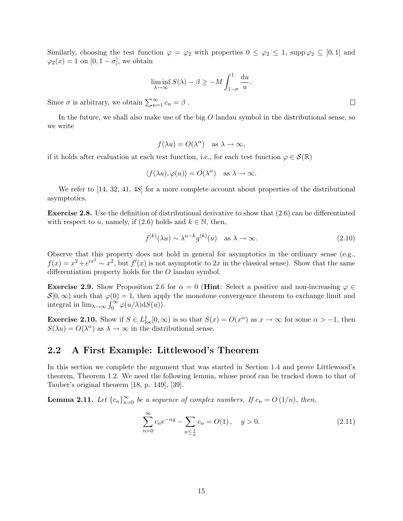Similarly, choosing the test function  $\varphi = \varphi_2$  with properties  $0 \leq \varphi_2 \leq 1$ , supp  $\varphi_2 \subseteq [0,1]$  and  $\varphi_2(x) = 1$  on  $[0, 1 - \sigma]$ , we obtain

$$
\liminf_{\lambda \to \infty} S(\lambda) - \beta \ge -M \int_{1-\sigma}^{1} \frac{\mathrm{d}u}{u}
$$

Since  $\sigma$  is arbitrary, we obtain  $\sum_{n=1}^{\infty} c_n = \beta$ .

In the future, we shall also make use of the big  $O$  landau symbol in the distributional sense, so we write

$$
f(\lambda u) = O(\lambda^{\alpha})
$$
 as  $\lambda \to \infty$ ,

if it holds after evaluation at each test function, i.e., for each test function  $\varphi \in \mathcal{S}(\mathbb{R})$ 

$$
\langle f(\lambda u), \varphi(u) \rangle = O(\lambda^{\alpha}) \text{ as } \lambda \to \infty.
$$

We refer to [14, 32, 41, 48] for a more complete account about properties of the distributional asymptotics.

Exercise 2.8. Use the definition of distributional derivative to show that (2.6) can be differentiated with respect to u, namely, if  $(2.6)$  holds and  $k \in \mathbb{N}$ , then,

$$
f^{(k)}(\lambda u) \sim \lambda^{\alpha - k} g^{(k)}(u) \quad \text{as } \lambda \to \infty. \tag{2.10}
$$

.

Observe that this property does not hold in general for asymptotics in the ordinary sense (e.g.,  $f(x) = x^2 + e^{ix^3} \sim x^2$ , but  $f'(x)$  is not asymptotic to 2x in the classical sense). Show that the same differentiation property holds for the O landau symbol.

**Exercise 2.9.** Show Proposition 2.6 for  $\alpha = 0$  (**Hint**: Select a positive and non-increasing  $\varphi \in$  $\mathcal{S}[0,\infty)$  such that  $\varphi(0)=1$ , then apply the monotone convergence theorem to exchange limit and integral in  $\lim_{\lambda \to \infty} \int_0^\infty \varphi(u/\lambda) dS(u)$ .

**Exercise 2.10.** Show if  $S \in L^1_{loc}[0,\infty)$  is so that  $S(x) = O(x^{\alpha})$  as  $x \to \infty$  for some  $\alpha > -1$ , then  $S(\lambda u) = O(\lambda^{\alpha})$  as  $\lambda \to \infty$  in the distributional sense.

#### 2.2 A First Example: Littlewood's Theorem

In this section we complete the argument that was started in Section 1.4 and prove Littlewood's theorem, Theorem 1.2. We need the following lemma, whose proof can be tracked down to that of Tauber's original theorem [18, p. 149], [39].

**Lemma 2.11.** Let  ${c_n}_{n=0}^{\infty}$  be a sequence of complex numbers. If  $c_n = O(1/n)$ , then,

$$
\sum_{n=0}^{\infty} c_n e^{-ny} - \sum_{n \le \frac{1}{y}} c_n = O(1), \quad y > 0.
$$
\n(2.11)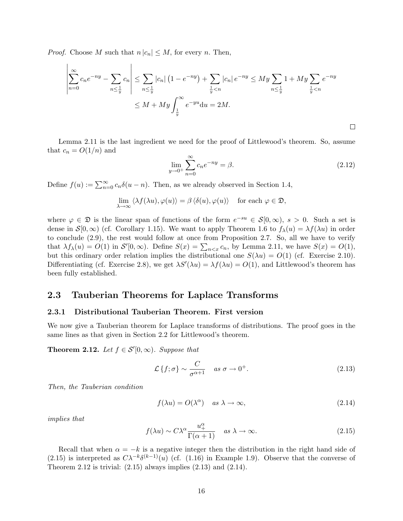*Proof.* Choose M such that  $n |c_n| \leq M$ , for every n. Then,

$$
\left| \sum_{n=0}^{\infty} c_n e^{-ny} - \sum_{n \le \frac{1}{y}} c_n \right| \le \sum_{n \le \frac{1}{y}} |c_n| \left( 1 - e^{-ny} \right) + \sum_{\frac{1}{y} < n} |c_n| \, e^{-ny} \le My \sum_{n \le \frac{1}{y}} 1 + My \sum_{\frac{1}{y} < n} e^{-ny} \\
\le M + My \int_{\frac{1}{y}}^{\infty} e^{-yu} \, du = 2M.
$$

Lemma 2.11 is the last ingredient we need for the proof of Littlewood's theorem. So, assume that  $c_n = O(1/n)$  and

$$
\lim_{y \to 0^+} \sum_{n=0}^{\infty} c_n e^{-ny} = \beta.
$$
\n(2.12)

 $\Box$ 

Define  $f(u) := \sum_{n=0}^{\infty} c_n \delta(u - n)$ . Then, as we already observed in Section 1.4,

$$
\lim_{\lambda \to \infty} \langle \lambda f(\lambda u), \varphi(u) \rangle = \beta \langle \delta(u), \varphi(u) \rangle \quad \text{for each } \varphi \in \mathfrak{D},
$$

where  $\varphi \in \mathfrak{D}$  is the linear span of functions of the form  $e^{-su} \in \mathcal{S}[0,\infty)$ ,  $s > 0$ . Such a set is dense in  $\mathcal{S}[0,\infty)$  (cf. Corollary 1.15). We want to apply Theorem 1.6 to  $f_{\lambda}(u) = \lambda f(\lambda u)$  in order to conclude (2.9), the rest would follow at once from Proposition 2.7. So, all we have to verify that  $\lambda f_{\lambda}(u) = O(1)$  in  $S'[0,\infty)$ . Define  $S(x) = \sum_{n \leq x} c_n$ , by Lemma 2.11, we have  $S(x) = O(1)$ , but this ordinary order relation implies the distributional one  $S(\lambda u) = O(1)$  (cf. Exercise 2.10). Differentiating (cf. Exercise 2.8), we get  $\lambda S'(\lambda u) = \lambda f(\lambda u) = O(1)$ , and Littlewood's theorem has been fully established.

#### 2.3 Tauberian Theorems for Laplace Transforms

#### 2.3.1 Distributional Tauberian Theorem. First version

We now give a Tauberian theorem for Laplace transforms of distributions. The proof goes in the same lines as that given in Section 2.2 for Littlewood's theorem.

**Theorem 2.12.** Let  $f \in \mathcal{S}'[0,\infty)$ . Suppose that

$$
\mathcal{L}\left\{f;\sigma\right\} \sim \frac{C}{\sigma^{\alpha+1}} \quad \text{as } \sigma \to 0^+.
$$
\n(2.13)

Then, the Tauberian condition

$$
f(\lambda u) = O(\lambda^{\alpha}) \quad \text{as } \lambda \to \infty,
$$
\n(2.14)

implies that

$$
f(\lambda u) \sim C\lambda^{\alpha} \frac{u_+^{\alpha}}{\Gamma(\alpha+1)} \quad \text{as } \lambda \to \infty.
$$
 (2.15)

Recall that when  $\alpha = -k$  is a negative integer then the distribution in the right hand side of (2.15) is interpreted as  $C\lambda^{-k}\delta^{(k-1)}(u)$  (cf. (1.16) in Example 1.9). Observe that the converse of Theorem 2.12 is trivial:  $(2.15)$  always implies  $(2.13)$  and  $(2.14)$ .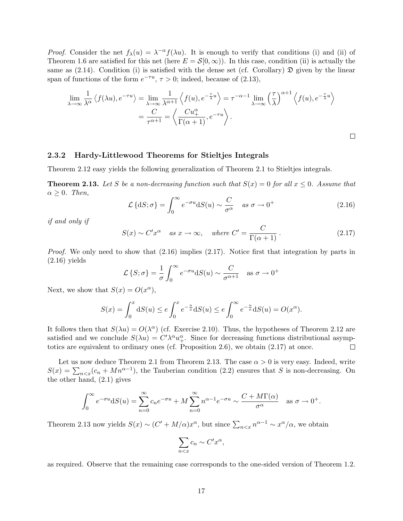*Proof.* Consider the net  $f_{\lambda}(u) = \lambda^{-\alpha} f(\lambda u)$ . It is enough to verify that conditions (i) and (ii) of Theorem 1.6 are satisfied for this net (here  $E = \mathcal{S}[0,\infty)$ ). In this case, condition (ii) is actually the same as  $(2.14)$ . Condition (i) is satisfied with the dense set (cf. Corollary)  $\mathfrak{D}$  given by the linear span of functions of the form  $e^{-\tau u}$ ,  $\tau > 0$ ; indeed, because of (2.13),

$$
\lim_{\lambda \to \infty} \frac{1}{\lambda^{\alpha}} \left\langle f(\lambda u), e^{-\tau u} \right\rangle = \lim_{\lambda \to \infty} \frac{1}{\lambda^{\alpha+1}} \left\langle f(u), e^{-\frac{\tau}{\lambda}u} \right\rangle = \tau^{-\alpha-1} \lim_{\lambda \to \infty} \left( \frac{\tau}{\lambda} \right)^{\alpha+1} \left\langle f(u), e^{-\frac{\tau}{\lambda}u} \right\rangle
$$

$$
= \frac{C}{\tau^{\alpha+1}} = \left\langle \frac{Cu_+^{\alpha}}{\Gamma(\alpha+1)}, e^{-\tau u} \right\rangle.
$$

#### 2.3.2 Hardy-Littlewood Theorems for Stieltjes Integrals

Theorem 2.12 easy yields the following generalization of Theorem 2.1 to Stieltjes integrals.

**Theorem 2.13.** Let S be a non-decreasing function such that  $S(x) = 0$  for all  $x \le 0$ . Assume that  $\alpha \geq 0$ . Then,

$$
\mathcal{L}\left\{dS;\sigma\right\} = \int_0^\infty e^{-\sigma u} dS(u) \sim \frac{C}{\sigma^{\alpha}} \quad \text{as } \sigma \to 0^+ \tag{2.16}
$$

 $\Box$ 

if and only if

$$
S(x) \sim C' x^{\alpha} \quad as \ x \to \infty, \quad where \ C' = \frac{C}{\Gamma(\alpha+1)}.
$$
 (2.17)

*Proof.* We only need to show that  $(2.16)$  implies  $(2.17)$ . Notice first that integration by parts in  $(2.16)$  yields

$$
\mathcal{L}\left\{S;\sigma\right\} = \frac{1}{\sigma} \int_0^\infty e^{-\sigma u} dS(u) \sim \frac{C}{\sigma^{\alpha+1}} \quad \text{as } \sigma \to 0^+
$$

Next, we show that  $S(x) = O(x^{\alpha}),$ 

$$
S(x) = \int_0^x dS(u) \le e \int_0^x e^{-\frac{u}{x}} dS(u) \le e \int_0^\infty e^{-\frac{u}{x}} dS(u) = O(x^{\alpha}).
$$

It follows then that  $S(\lambda u) = O(\lambda^{\alpha})$  (cf. Exercise 2.10). Thus, the hypotheses of Theorem 2.12 are satisfied and we conclude  $S(\lambda u) = C'\lambda^{\alpha}u_+^{\alpha}$ . Since for decreasing functions distributional asymptotics are equivalent to ordinary ones (cf. Proposition 2.6), we obtain (2.17) at once.  $\Box$ 

Let us now deduce Theorem 2.1 from Theorem 2.13. The case  $\alpha > 0$  is very easy. Indeed, write  $S(x) = \sum_{n \leq x} (c_n + Mn^{\alpha-1})$ , the Tauberian condition (2.2) ensures that S is non-decreasing. On the other hand, (2.1) gives

$$
\int_0^\infty e^{-\sigma u} dS(u) = \sum_{n=0}^\infty c_n e^{-\sigma u} + M \sum_{n=0}^\infty n^{\alpha-1} e^{-\sigma u} \sim \frac{C + M\Gamma(\alpha)}{\sigma^\alpha} \quad \text{as } \sigma \to 0^+.
$$

Theorem 2.13 now yields  $S(x) \sim (C' + M/\alpha)x^{\alpha}$ , but since  $\sum_{n \leq x} n^{\alpha - 1} \sim x^{\alpha}/\alpha$ , we obtain

$$
\sum_{n
$$

as required. Observe that the remaining case corresponds to the one-sided version of Theorem 1.2.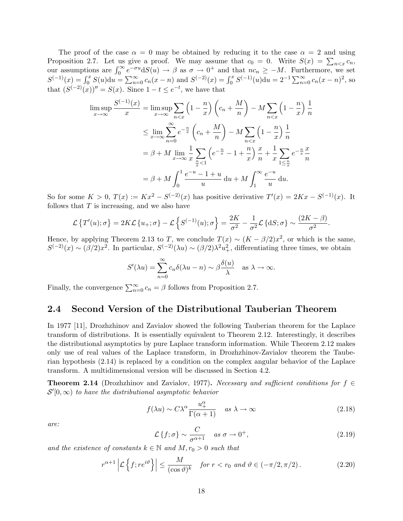The proof of the case  $\alpha = 0$  may be obtained by reducing it to the case  $\alpha = 2$  and using Proposition 2.7. Let us give a proof. We may assume that  $c_0 = 0$ . Write  $S(x) = \sum_{n \le x} c_n$ , our assumptions are  $\int_0^\infty e^{-\sigma u} dS(u) \to \beta$  as  $\sigma \to 0^+$  and that  $nc_n \ge -M$ . Furthermore, we set  $S^{(-1)}(x) = \int_0^x S(u) \mathrm{d}u = \sum_{n=0}^\infty c_n(x-n)$  and  $S^{(-2)}(x) = \int_0^x S^{(-1)}(u) \mathrm{d}u = 2^{-1} \sum_{n=0}^\infty c_n(x-n)^2$ , so that  $(S^{(-2)}(x))'' = S(x)$ . Since  $1 - t \le e^{-t}$ , we have that

$$
\limsup_{x \to \infty} \frac{S^{(-1)}(x)}{x} = \limsup_{x \to \infty} \sum_{n < x} \left( 1 - \frac{n}{x} \right) \left( c_n + \frac{M}{n} \right) - M \sum_{n < x} \left( 1 - \frac{n}{x} \right) \frac{1}{n}
$$
\n
$$
\leq \lim_{x \to \infty} \sum_{n=0}^{\infty} e^{-\frac{n}{x}} \left( c_n + \frac{M}{n} \right) - M \sum_{n < x} \left( 1 - \frac{n}{x} \right) \frac{1}{n}
$$
\n
$$
= \beta + M \lim_{x \to \infty} \frac{1}{x} \sum_{\frac{n}{x} < 1} \left( e^{-\frac{n}{x}} - 1 + \frac{n}{x} \right) \frac{x}{n} + \frac{1}{x} \sum_{1 \leq \frac{n}{x}} e^{-\frac{n}{x}} \frac{x}{n}
$$
\n
$$
= \beta + M \int_0^1 \frac{e^{-u} - 1 + u}{u} \, du + M \int_1^\infty \frac{e^{-u}}{u} \, du.
$$

So for some  $K > 0$ ,  $T(x) := Kx^2 - S^{(-2)}(x)$  has positive derivative  $T'(x) = 2Kx - S^{(-1)}(x)$ . It follows that  $T$  is increasing, and we also have

$$
\mathcal{L}\left\{T'(u); \sigma\right\} = 2K\mathcal{L}\left\{u_+; \sigma\right\} - \mathcal{L}\left\{S^{(-1)}(u); \sigma\right\} = \frac{2K}{\sigma^2} - \frac{1}{\sigma^2}\mathcal{L}\left\{\mathrm{d}S; \sigma\right\} \sim \frac{(2K-\beta)}{\sigma^2}.
$$

Hence, by applying Theorem 2.13 to T, we conclude  $T(x) \sim (K - \beta/2)x^2$ , or which is the same,  $S^{(-2)}(x) \sim (\beta/2)x^2$ . In particular,  $S^{(-2)}(\lambda u) \sim (\beta/2)\lambda^2 u_+^2$ , differentiating three times, we obtain

$$
S'(\lambda u) = \sum_{n=0}^{\infty} c_n \delta(\lambda u - n) \sim \beta \frac{\delta(u)}{\lambda} \quad \text{as } \lambda \to \infty.
$$

Finally, the convergence  $\sum_{n=0}^{\infty} c_n = \beta$  follows from Proposition 2.7.

#### 2.4 Second Version of the Distributional Tauberian Theorem

In 1977 [11], Drozhzhinov and Zavialov showed the following Tauberian theorem for the Laplace transform of distributions. It is essentially equivalent to Theorem 2.12. Interestingly, it describes the distributional asymptotics by pure Laplace transform information. While Theorem 2.12 makes only use of real values of the Laplace transform, in Drozhzhinov-Zavialov theorem the Tauberian hypothesis (2.14) is replaced by a condition on the complex angular behavior of the Laplace transform. A multidimensional version will be discussed in Section 4.2.

**Theorem 2.14** (Drozhzhinov and Zavialov, 1977). Necessary and sufficient conditions for  $f \in$  $\mathcal{S}'[0,\infty)$  to have the distributional asymptotic behavior

$$
f(\lambda u) \sim C\lambda^{\alpha} \frac{u_+^{\alpha}}{\Gamma(\alpha+1)} \quad \text{as } \lambda \to \infty \tag{2.18}
$$

are:

$$
\mathcal{L}\left\{f;\sigma\right\} \sim \frac{C}{\sigma^{\alpha+1}} \quad \text{as } \sigma \to 0^+, \tag{2.19}
$$

and the existence of constants  $k \in \mathbb{N}$  and  $M, r_0 > 0$  such that

$$
r^{\alpha+1} \left| \mathcal{L} \left\{ f; re^{i\vartheta} \right\} \right| \le \frac{M}{(\cos \vartheta)^k} \quad \text{for } r < r_0 \text{ and } \vartheta \in (-\pi/2, \pi/2). \tag{2.20}
$$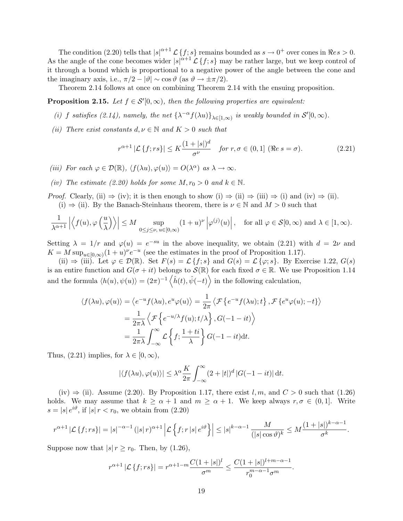The condition (2.20) tells that  $|s|^{\alpha+1} \mathcal{L} \{f; s\}$  remains bounded as  $s \to 0^+$  over cones in  $\Rees > 0$ . As the angle of the cone becomes wider  $|s|^{\alpha+1} \mathcal{L} \{f; s\}$  may be rather large, but we keep control of it through a bound which is proportional to a negative power of the angle between the cone and the imaginary axis, i.e.,  $\pi/2 - |\vartheta| \sim \cos \vartheta$  (as  $\vartheta \to \pm \pi/2$ ).

Theorem 2.14 follows at once on combining Theorem 2.14 with the ensuing proposition.

**Proposition 2.15.** Let  $f \in S'(0,\infty)$ , then the following properties are equivalent:

- (i) f satisfies (2.14), namely, the net  $\{\lambda^{-\alpha} f(\lambda u)\}_{\lambda \in [1,\infty)}$  is weakly bounded in  $\mathcal{S}'[0,\infty)$ .
- (ii) There exist constants  $d, \nu \in \mathbb{N}$  and  $K > 0$  such that

$$
r^{\alpha+1} \left| \mathcal{L}\left\{f; rs\right\} \right| \le K \frac{(1+|s|)^d}{\sigma^{\nu}} \quad \text{for } r, \sigma \in (0,1] \text{ (\Re } s = \sigma). \tag{2.21}
$$

- (iii) For each  $\varphi \in \mathcal{D}(\mathbb{R})$ ,  $\langle f(\lambda u), \varphi(u) \rangle = O(\lambda^{\alpha})$  as  $\lambda \to \infty$ .
- (iv) The estimate (2.20) holds for some  $M, r_0 > 0$  and  $k \in \mathbb{N}$ .
- *Proof.* Clearly, (ii)  $\Rightarrow$  (iv); it is then enough to show (i)  $\Rightarrow$  (ii)  $\Rightarrow$  (iii)  $\Rightarrow$  (i) and (iv)  $\Rightarrow$  (ii). (i)  $\Rightarrow$  (ii). By the Banach-Steinhaus theorem, there is  $\nu \in \mathbb{N}$  and  $M > 0$  such that

$$
\frac{1}{\lambda^{\alpha+1}}\left|\left\langle f(u),\varphi\left(\frac{u}{\lambda}\right)\right\rangle\right|\leq M\sup_{0\leq j\leq \nu,\ u\in [0,\infty)}(1+u)^{\nu}\left|\varphi^{(j)}(u)\right|,\quad \text{for all }\varphi\in\mathcal{S}[0,\infty)\text{ and }\lambda\in [1,\infty).
$$

Setting  $\lambda = 1/r$  and  $\varphi(u) = e^{-su}$  in the above inequality, we obtain (2.21) with  $d = 2\nu$  and  $K = M \sup_{u \in [0,\infty)} (1+u)^{\nu} e^{-u}$  (see the estimates in the proof of Proposition 1.17).

(ii)  $\Rightarrow$  (iii). Let  $\varphi \in \mathcal{D}(\mathbb{R})$ . Set  $F(s) = \mathcal{L}{f; s}$  and  $G(s) = \mathcal{L}{\varphi; s}$ . By Exercise 1.22,  $G(s)$ is an entire function and  $G(\sigma + it)$  belongs to  $\mathcal{S}(\mathbb{R})$  for each fixed  $\sigma \in \mathbb{R}$ . We use Proposition 1.14 and the formula  $\langle h(u), \psi(u) \rangle = (2\pi)^{-1} \langle \hat{h}(t), \hat{\psi}(-t) \rangle$  in the following calculation,

$$
\langle f(\lambda u), \varphi(u) \rangle = \langle e^{-u} f(\lambda u), e^u \varphi(u) \rangle = \frac{1}{2\pi} \langle \mathcal{F} \{ e^{-u} f(\lambda u); t \}, \mathcal{F} \{ e^u \varphi(u); -t \} \rangle
$$
  
=  $\frac{1}{2\pi \lambda} \langle \mathcal{F} \{ e^{-u/\lambda} f(u); t/\lambda \}, G(-1 - it) \rangle$   
=  $\frac{1}{2\pi \lambda} \int_{-\infty}^{\infty} \mathcal{L} \{ f; \frac{1+ti}{\lambda} \} G(-1 - it) dt.$ 

Thus,  $(2.21)$  implies, for  $\lambda \in [0, \infty)$ ,

$$
|\langle f(\lambda u), \varphi(u)\rangle| \leq \lambda^{\alpha} \frac{K}{2\pi} \int_{-\infty}^{\infty} (2+|t|)^{d} |G(-1-it)| dt.
$$

(iv)  $\Rightarrow$  (ii). Assume (2.20). By Proposition 1.17, there exist l, m, and  $C > 0$  such that (1.26) holds. We may assume that  $k \ge \alpha + 1$  and  $m \ge \alpha + 1$ . We keep always  $r, \sigma \in (0, 1]$ . Write  $s = |s| e^{i\vartheta}$ , if  $|s| r < r_0$ , we obtain from  $(2.20)$ 

$$
r^{\alpha+1} |\mathcal{L}\{f; rs\}| = |s|^{-\alpha-1} (|s| r)^{\alpha+1} |\mathcal{L}\left\{f; r| s| e^{i\vartheta}\right\}| \leq |s|^{k-\alpha-1} \frac{M}{(|s| \cos \vartheta)^k} \leq M \frac{(1+|s|)^{k-\alpha-1}}{\sigma^k}.
$$

Suppose now that  $|s| r \ge r_0$ . Then, by (1.26),

$$
r^{\alpha+1} |\mathcal{L} \{f; rs\}| = r^{\alpha+1-m} \frac{C(1+|s|)^l}{\sigma^m} \le \frac{C(1+|s|)^{l+m-\alpha-1}}{r_0^{m-\alpha-1}\sigma^m}
$$

.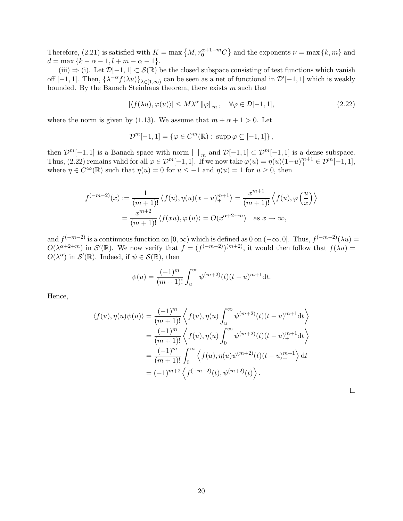Therefore, (2.21) is satisfied with  $K = \max\{M, r_0^{\alpha+1-m}C\}$  and the exponents  $\nu = \max\{k, m\}$  and  $d = \max\{k - \alpha - 1, l + m - \alpha - 1\}.$ 

(iii)  $\Rightarrow$  (i). Let  $\mathcal{D}[-1,1] \subset \mathcal{S}(\mathbb{R})$  be the closed subspace consisting of test functions which vanish off [-1,1]. Then,  $\{\lambda^{-\alpha} f(\lambda u)\}_{\lambda \in [1,\infty)}$  can be seen as a net of functional in  $\mathcal{D}'[-1,1]$  which is weakly bounded. By the Banach Steinhaus theorem, there exists  $m$  such that

$$
|\langle f(\lambda u), \varphi(u) \rangle| \le M\lambda^{\alpha} \|\varphi\|_{m}, \quad \forall \varphi \in \mathcal{D}[-1, 1], \tag{2.22}
$$

where the norm is given by (1.13). We assume that  $m + \alpha + 1 > 0$ . Let

$$
\mathcal{D}^m[-1,1] = \{ \varphi \in C^m(\mathbb{R}) : \operatorname{supp} \varphi \subseteq [-1,1] \},
$$

then  $\mathcal{D}^m[-1,1]$  is a Banach space with norm  $\| \cdot \|_m$  and  $\mathcal{D}[-1,1] \subset \mathcal{D}^m[-1,1]$  is a dense subspace. Thus,  $(2.22)$  remains valid for all  $\varphi \in \mathcal{D}^m[-1,1]$ . If we now take  $\varphi(u) = \eta(u)(1-u)_+^{m+1} \in \mathcal{D}^m[-1,1]$ , where  $\eta \in C^{\infty}(\mathbb{R})$  such that  $\eta(u) = 0$  for  $u \le -1$  and  $\eta(u) = 1$  for  $u \ge 0$ , then

$$
f^{(-m-2)}(x) := \frac{1}{(m+1)!} \langle f(u), \eta(u)(x-u)_{+}^{m+1} \rangle = \frac{x^{m+1}}{(m+1)!} \langle f(u), \varphi\left(\frac{u}{x}\right) \rangle
$$
  
= 
$$
\frac{x^{m+2}}{(m+1)!} \langle f(xu), \varphi(u) \rangle = O(x^{\alpha+2+m}) \text{ as } x \to \infty,
$$

and  $f^{(-m-2)}$  is a continuous function on  $[0, \infty)$  which is defined as 0 on  $(-\infty, 0]$ . Thus,  $f^{(-m-2)}(\lambda u) =$  $O(\lambda^{\alpha+2+m})$  in  $\mathcal{S}'(\mathbb{R})$ . We now verify that  $f = (f^{(-m-2)})^{(m+2)}$ , it would then follow that  $f(\lambda u) =$  $O(\lambda^{\alpha})$  in  $\mathcal{S}'(\mathbb{R})$ . Indeed, if  $\psi \in \mathcal{S}(\mathbb{R})$ , then

$$
\psi(u) = \frac{(-1)^m}{(m+1)!} \int_u^{\infty} \psi^{(m+2)}(t) (t-u)^{m+1} \mathrm{d}t.
$$

Hence,

$$
\langle f(u), \eta(u)\psi(u)\rangle = \frac{(-1)^m}{(m+1)!} \left\langle f(u), \eta(u) \int_u^\infty \psi^{(m+2)}(t) (t-u)^{m+1} \mathrm{d}t \right\rangle
$$
  
= 
$$
\frac{(-1)^m}{(m+1)!} \left\langle f(u), \eta(u) \int_0^\infty \psi^{(m+2)}(t) (t-u)_+^{m+1} \mathrm{d}t \right\rangle
$$
  
= 
$$
\frac{(-1)^m}{(m+1)!} \int_0^\infty \left\langle f(u), \eta(u)\psi^{(m+2)}(t) (t-u)_+^{m+1} \right\rangle \mathrm{d}t
$$
  
= 
$$
(-1)^{m+2} \left\langle f^{(-m-2)}(t), \psi^{(m+2)}(t) \right\rangle.
$$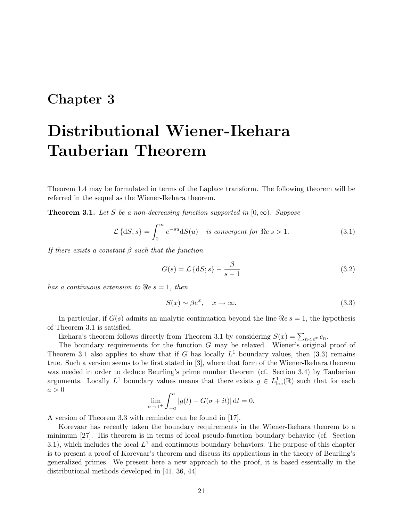## Chapter 3

# Distributional Wiener-Ikehara Tauberian Theorem

Theorem 1.4 may be formulated in terms of the Laplace transform. The following theorem will be referred in the sequel as the Wiener-Ikehara theorem.

**Theorem 3.1.** Let S be a non-decreasing function supported in  $[0, \infty)$ . Suppose

$$
\mathcal{L}\lbrace \mathrm{d}S; s \rbrace = \int_0^\infty e^{-su} \mathrm{d}S(u) \quad \text{is convergent for } \Re e \, s > 1. \tag{3.1}
$$

If there exists a constant  $\beta$  such that the function

$$
G(s) = \mathcal{L}\left\{dS; s\right\} - \frac{\beta}{s - 1} \tag{3.2}
$$

has a continuous extension to  $Re s = 1$ , then

$$
S(x) \sim \beta e^x, \quad x \to \infty. \tag{3.3}
$$

In particular, if  $G(s)$  admits an analytic continuation beyond the line  $\Re e s = 1$ , the hypothesis of Theorem 3.1 is satisfied.

Ikehara's theorem follows directly from Theorem 3.1 by considering  $S(x) = \sum_{n \leq e^x} c_n$ .

The boundary requirements for the function G may be relaxed. Wiener's original proof of Theorem 3.1 also applies to show that if G has locally  $L^1$  boundary values, then (3.3) remains true. Such a version seems to be first stated in [3], where that form of the Wiener-Ikehara theorem was needed in order to deduce Beurling's prime number theorem (cf. Section 3.4) by Tauberian arguments. Locally  $L^1$  boundary values means that there exists  $g \in L^1_{loc}(\mathbb{R})$  such that for each  $a > 0$ 

$$
\lim_{\sigma \to 1^+} \int_{-a}^a |g(t) - G(\sigma + it)| dt = 0.
$$

A version of Theorem 3.3 with reminder can be found in [17].

Korevaar has recently taken the boundary requirements in the Wiener-Ikehara theorem to a minimum [27]. His theorem is in terms of local pseudo-function boundary behavior (cf. Section 3.1), which includes the local  $L^1$  and continuous boundary behaviors. The purpose of this chapter is to present a proof of Korevaar's theorem and discuss its applications in the theory of Beurling's generalized primes. We present here a new approach to the proof, it is based essentially in the distributional methods developed in [41, 36, 44].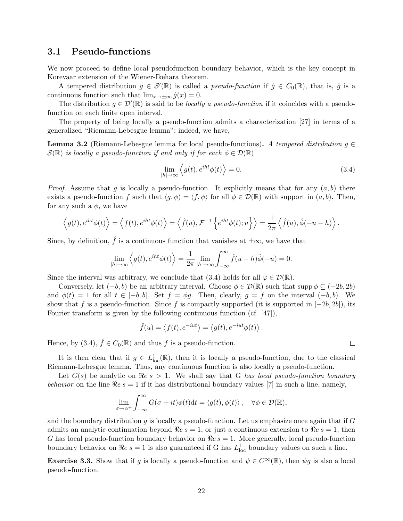### 3.1 Pseudo-functions

We now proceed to define local pseudofunction boundary behavior, which is the key concept in Korevaar extension of the Wiener-Ikehara theorem.

A tempered distribution  $g \in \mathcal{S}'(\mathbb{R})$  is called a *pseudo-function* if  $\hat{g} \in C_0(\mathbb{R})$ , that is,  $\hat{g}$  is a continuous function such that  $\lim_{x\to+\infty} \hat{g}(x) = 0$ .

The distribution  $g \in \mathcal{D}'(\mathbb{R})$  is said to be *locally a pseudo-function* if it coincides with a pseudofunction on each finite open interval.

The property of being locally a pseudo-function admits a characterization [27] in terms of a generalized "Riemann-Lebesgue lemma"; indeed, we have,

**Lemma 3.2** (Riemann-Lebesgue lemma for local pseudo-functions). A tempered distribution  $g \in$  $\mathcal{S}(\mathbb{R})$  is locally a pseudo-function if and only if for each  $\phi \in \mathcal{D}(\mathbb{R})$ 

$$
\lim_{|h| \to \infty} \left\langle g(t), e^{iht} \phi(t) \right\rangle = 0.
$$
\n(3.4)

.

*Proof.* Assume that g is locally a pseudo-function. It explicitly means that for any  $(a, b)$  there exists a pseudo-function f such that  $\langle g, \phi \rangle = \langle f, \phi \rangle$  for all  $\phi \in \mathcal{D}(\mathbb{R})$  with support in  $(a, b)$ . Then, for any such a  $\phi$ , we have

$$
\left\langle g(t), e^{iht}\phi(t) \right\rangle = \left\langle f(t), e^{iht}\phi(t) \right\rangle = \left\langle \hat{f}(u), \mathcal{F}^{-1}\left\{ e^{iht}\phi(t); u \right\} \right\rangle = \frac{1}{2\pi} \left\langle \hat{f}(u), \hat{\phi}(-u-h) \right\rangle.
$$

Since, by definition,  $\hat{f}$  is a continuous function that vanishes at  $\pm\infty$ , we have that

$$
\lim_{|h| \to \infty} \left\langle g(t), e^{iht} \phi(t) \right\rangle = \frac{1}{2\pi} \lim_{|h| \to \infty} \int_{-\infty}^{\infty} \hat{f}(u-h)\hat{\phi}(-u) = 0.
$$

Since the interval was arbitrary, we conclude that (3.4) holds for all  $\varphi \in \mathcal{D}(\mathbb{R})$ .

Conversely, let  $(-b, b)$  be an arbitrary interval. Choose  $\phi \in \mathcal{D}(\mathbb{R})$  such that supp  $\phi \subseteq (-2b, 2b)$ and  $\phi(t) = 1$  for all  $t \in [-b, b]$ . Set  $f = \phi g$ . Then, clearly,  $g = f$  on the interval  $(-b, b)$ . We show that f is a pseudo-function. Since f is compactly supported (it is supported in  $[-2b, 2b]$ ), its Fourier transform is given by the following continuous function (cf. [47]),

$$
\hat{f}(u) = \langle f(t), e^{-iut} \rangle = \langle g(t), e^{-iut}\phi(t) \rangle
$$

Hence, by (3.4),  $\hat{f} \in C_0(\mathbb{R})$  and thus f is a pseudo-function.

It is then clear that if  $g \in L^1_{loc}(\mathbb{R})$ , then it is locally a pseudo-function, due to the classical Riemann-Lebesgue lemma. Thus, any continuous function is also locally a pseudo-function.

Let  $G(s)$  be analytic on  $\Re e \ s > 1$ . We shall say that G has local pseudo-function boundary behavior on the line  $\Re e s = 1$  if it has distributional boundary values [7] in such a line, namely,

$$
\lim_{\sigma \to \alpha^+} \int_{-\infty}^{\infty} G(\sigma + it) \phi(t) dt = \langle g(t), \phi(t) \rangle, \quad \forall \phi \in \mathcal{D}(\mathbb{R}),
$$

and the boundary distribution g is locally a pseudo-function. Let us emphasize once again that if  $G$ admits an analytic continuation beyond  $\Re e s = 1$ , or just a continuous extension to  $\Re e s = 1$ , then G has local pseudo-function boundary behavior on  $\Re e s = 1$ . More generally, local pseudo-function boundary behavior on  $Re s = 1$  is also guaranteed if G has  $L<sup>1</sup><sub>loc</sub>$  boundary values on such a line.

**Exercise 3.3.** Show that if g is locally a pseudo-function and  $\psi \in C^{\infty}(\mathbb{R})$ , then  $\psi g$  is also a local pseudo-function.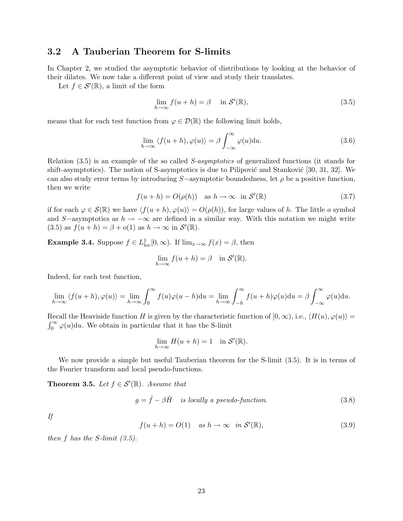### 3.2 A Tauberian Theorem for S-limits

In Chapter 2, we studied the asymptotic behavior of distributions by looking at the behavior of their dilates. We now take a different point of view and study their translates.

Let  $f \in \mathcal{S}'(\mathbb{R})$ , a limit of the form

$$
\lim_{h \to \infty} f(u+h) = \beta \quad \text{in } \mathcal{S}'(\mathbb{R}), \tag{3.5}
$$

means that for each test function from  $\varphi \in \mathcal{D}(\mathbb{R})$  the following limit holds,

$$
\lim_{h \to \infty} \langle f(u+h), \varphi(u) \rangle = \beta \int_{-\infty}^{\infty} \varphi(u) \mathrm{d}u.
$$
\n(3.6)

Relation (3.5) is an example of the so called S-asymptotics of generalized functions (it stands for shift-asymptotics). The notion of S-asymptotics is due to Pilipović and Stanković [30, 31, 32]. We can also study error terms by introducing  $S$ -asymptotic boundedness, let  $\rho$  be a positive function, then we write

$$
f(u+h) = O(\rho(h)) \quad \text{as } h \to \infty \quad \text{in } \mathcal{S}'(\mathbb{R})
$$
\n(3.7)

if for each  $\varphi \in \mathcal{S}(\mathbb{R})$  we have  $\langle f(u + h), \varphi(u)\rangle = O(\rho(h))$ , for large values of h. The little o symbol and S-asymptotics as  $h \to -\infty$  are defined in a similar way. With this notation we might write (3.5) as  $f(u+h) = \beta + o(1)$  as  $h \to \infty$  in  $\mathcal{S}'(\mathbb{R})$ .

**Example 3.4.** Suppose  $f \in L^1_{loc}[0, \infty)$ . If  $\lim_{x \to \infty} f(x) = \beta$ , then

$$
\lim_{h \to \infty} f(u+h) = \beta \quad \text{in } \mathcal{S}'(\mathbb{R}).
$$

Indeed, for each test function,

$$
\lim_{h \to \infty} \langle f(u+h), \varphi(u) \rangle = \lim_{h \to \infty} \int_0^\infty f(u)\varphi(u-h) \mathrm{d}u = \lim_{h \to \infty} \int_{-h}^\infty f(u+h)\varphi(u) \mathrm{d}u = \beta \int_{-\infty}^\infty \varphi(u) \mathrm{d}u.
$$

Recall the Heaviside function H is given by the characteristic function of  $[0, \infty)$ , i.e.,  $\langle H(u), \varphi(u) \rangle =$  $\int_0^\infty \varphi(u) \mathrm{d}u$ . We obtain in particular that it has the S-limit

$$
\lim_{h \to \infty} H(u+h) = 1 \quad \text{in } \mathcal{S}'(\mathbb{R}).
$$

We now provide a simple but useful Tauberian theorem for the S-limit  $(3.5)$ . It is in terms of the Fourier transform and local pseudo-functions.

**Theorem 3.5.** Let  $f \in \mathcal{S}'(\mathbb{R})$ . Assume that

$$
g = \hat{f} - \beta \hat{H} \quad \text{is locally a pseudo-function.} \tag{3.8}
$$

If

$$
f(u+h) = O(1) \quad \text{as } h \to \infty \quad \text{in } \mathcal{S}'(\mathbb{R}), \tag{3.9}
$$

then f has the S-limit  $(3.5)$ .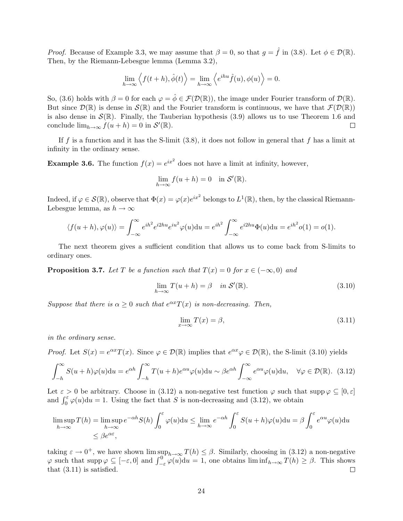*Proof.* Because of Example 3.3, we may assume that  $\beta = 0$ , so that  $g = \hat{f}$  in (3.8). Let  $\phi \in \mathcal{D}(\mathbb{R})$ . Then, by the Riemann-Lebesgue lemma (Lemma 3.2),

$$
\lim_{h \to \infty} \left\langle f(t+h), \hat{\phi}(t) \right\rangle = \lim_{h \to \infty} \left\langle e^{ihu} \hat{f}(u), \phi(u) \right\rangle = 0.
$$

So, (3.6) holds with  $\beta = 0$  for each  $\varphi = \hat{\phi} \in \mathcal{F}(\mathcal{D}(\mathbb{R}))$ , the image under Fourier transform of  $\mathcal{D}(\mathbb{R})$ . But since  $\mathcal{D}(\mathbb{R})$  is dense in  $\mathcal{S}(\mathbb{R})$  and the Fourier transform is continuous, we have that  $\mathcal{F}(\mathcal{D}(\mathbb{R}))$ is also dense in  $\mathcal{S}(\mathbb{R})$ . Finally, the Tauberian hypothesis (3.9) allows us to use Theorem 1.6 and conclude  $\lim_{h\to\infty} f(u+h) = 0$  in  $\mathcal{S}'(\mathbb{R})$ .  $\Box$ 

If f is a function and it has the S-limit  $(3.8)$ , it does not follow in general that f has a limit at infinity in the ordinary sense.

**Example 3.6.** The function  $f(x) = e^{ix^2}$  does not have a limit at infinity, however,

$$
\lim_{h \to \infty} f(u+h) = 0 \quad \text{in } \mathcal{S}'(\mathbb{R}).
$$

Indeed, if  $\varphi \in \mathcal{S}(\mathbb{R})$ , observe that  $\Phi(x) = \varphi(x)e^{ix^2}$  belongs to  $L^1(\mathbb{R})$ , then, by the classical Riemann-Lebesgue lemma, as  $h \to \infty$ 

$$
\langle f(u+h), \varphi(u) \rangle = \int_{-\infty}^{\infty} e^{ih^2} e^{i2hu} e^{iu^2} \varphi(u) \mathrm{d}u = e^{ih^2} \int_{-\infty}^{\infty} e^{i2hu} \Phi(u) \mathrm{d}u = e^{ih^2} o(1) = o(1).
$$

The next theorem gives a sufficient condition that allows us to come back from S-limits to ordinary ones.

**Proposition 3.7.** Let T be a function such that  $T(x) = 0$  for  $x \in (-\infty, 0)$  and

$$
\lim_{h \to \infty} T(u+h) = \beta \quad in \ \mathcal{S}'(\mathbb{R}). \tag{3.10}
$$

Suppose that there is  $\alpha \geq 0$  such that  $e^{\alpha x}T(x)$  is non-decreasing. Then,

$$
\lim_{x \to \infty} T(x) = \beta,\tag{3.11}
$$

in the ordinary sense.

*Proof.* Let  $S(x) = e^{\alpha x} T(x)$ . Since  $\varphi \in \mathcal{D}(\mathbb{R})$  implies that  $e^{\alpha x} \varphi \in \mathcal{D}(\mathbb{R})$ , the S-limit (3.10) yields

$$
\int_{-h}^{\infty} S(u+h)\varphi(u)du = e^{\alpha h} \int_{-h}^{\infty} T(u+h)e^{\alpha u}\varphi(u)du \sim \beta e^{\alpha h} \int_{-\infty}^{\infty} e^{\alpha u}\varphi(u)du, \quad \forall \varphi \in \mathcal{D}(\mathbb{R}). \tag{3.12}
$$

Let  $\varepsilon > 0$  be arbitrary. Choose in (3.12) a non-negative test function  $\varphi$  such that supp  $\varphi \subseteq [0, \varepsilon]$ and  $\int_0^{\varepsilon} \varphi(u) du = 1$ . Using the fact that S is non-decreasing and (3.12), we obtain

$$
\limsup_{h \to \infty} T(h) = \limsup_{h \to \infty} e^{-\alpha h} S(h) \int_0^{\varepsilon} \varphi(u) \mathrm{d}u \le \lim_{h \to \infty} e^{-\alpha h} \int_0^{\varepsilon} S(u+h) \varphi(u) \mathrm{d}u = \beta \int_0^{\varepsilon} e^{\alpha u} \varphi(u) \mathrm{d}u
$$
  

$$
\le \beta e^{\alpha \varepsilon},
$$

taking  $\varepsilon \to 0^+$ , we have shown  $\limsup_{h\to\infty} T(h) \leq \beta$ . Similarly, choosing in (3.12) a non-negative  $\varphi$  such that supp  $\varphi \subseteq [-\varepsilon, 0]$  and  $\int_{-\varepsilon}^{0} \varphi(u) du = 1$ , one obtains  $\liminf_{h \to \infty} T(h) \ge \beta$ . This shows that (3.11) is satisfied.  $\Box$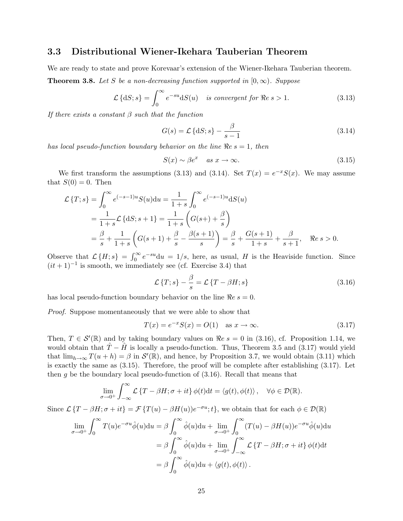#### 3.3 Distributional Wiener-Ikehara Tauberian Theorem

We are ready to state and prove Korevaar's extension of the Wiener-Ikehara Tauberian theorem.

**Theorem 3.8.** Let S be a non-decreasing function supported in  $[0, \infty)$ . Suppose

$$
\mathcal{L}\left\{dS;s\right\} = \int_0^\infty e^{-su} dS(u) \quad \text{is convergent for } \Re e \, s > 1. \tag{3.13}
$$

If there exists a constant  $\beta$  such that the function

$$
G(s) = \mathcal{L}\left\{dS; s\right\} - \frac{\beta}{s - 1} \tag{3.14}
$$

has local pseudo-function boundary behavior on the line  $\Re e s = 1$ , then

$$
S(x) \sim \beta e^x \quad as \ x \to \infty. \tag{3.15}
$$

We first transform the assumptions (3.13) and (3.14). Set  $T(x) = e^{-x}S(x)$ . We may assume that  $S(0) = 0$ . Then

$$
\mathcal{L}\left\{T;s\right\} = \int_0^\infty e^{(-s-1)u} S(u) \mathrm{d}u = \frac{1}{1+s} \int_0^\infty e^{(-s-1)u} \mathrm{d}S(u) \n= \frac{1}{1+s} \mathcal{L}\left\{\mathrm{d}S;s+1\right\} = \frac{1}{1+s} \left( G(s+) + \frac{\beta}{s} \right) \n= \frac{\beta}{s} + \frac{1}{1+s} \left( G(s+1) + \frac{\beta}{s} - \frac{\beta(s+1)}{s} \right) = \frac{\beta}{s} + \frac{G(s+1)}{1+s} + \frac{\beta}{s+1}, \quad \Re e \, s > 0.
$$

Observe that  $\mathcal{L}\lbrace H; s \rbrace = \int_0^\infty e^{-su} \mathrm{d}u = 1/s$ , here, as usual, H is the Heaviside function. Since  $(it + 1)^{-1}$  is smooth, we immediately see (cf. Exercise 3.4) that

$$
\mathcal{L}\left\{T;s\right\} - \frac{\beta}{s} = \mathcal{L}\left\{T - \beta H;s\right\} \tag{3.16}
$$

has local pseudo-function boundary behavior on the line  $\Re e s = 0$ .

Proof. Suppose momentaneously that we were able to show that

$$
T(x) = e^{-x} S(x) = O(1) \quad \text{as } x \to \infty.
$$
 (3.17)

Then,  $T \in \mathcal{S}'(\mathbb{R})$  and by taking boundary values on  $\Re e s = 0$  in (3.16), cf. Proposition 1.14, we would obtain that  $\hat{T} - \hat{H}$  is locally a pseudo-function. Thus, Theorem 3.5 and (3.17) would yield that  $\lim_{h\to\infty} T(u+h) = \beta$  in  $\mathcal{S}'(\mathbb{R})$ , and hence, by Proposition 3.7, we would obtain (3.11) which is exactly the same as (3.15). Therefore, the proof will be complete after establishing (3.17). Let then  $g$  be the boundary local pseudo-function of  $(3.16)$ . Recall that means that

$$
\lim_{\sigma \to 0^+} \int_{-\infty}^{\infty} \mathcal{L} \{ T - \beta H; \sigma + it \} \phi(t) dt = \langle g(t), \phi(t) \rangle, \quad \forall \phi \in \mathcal{D}(\mathbb{R}).
$$

Since  $\mathcal{L}\{T-\beta H; \sigma+it\} = \mathcal{F}\{T(u)-\beta H(u)\}e^{-\sigma u};$  t, we obtain that for each  $\phi \in \mathcal{D}(\mathbb{R})$ 

$$
\lim_{\sigma \to 0^+} \int_0^\infty T(u)e^{-\sigma u} \hat{\phi}(u) du = \beta \int_0^\infty \hat{\phi}(u) du + \lim_{\sigma \to 0^+} \int_0^\infty (T(u) - \beta H(u))e^{-\sigma u} \hat{\phi}(u) du
$$

$$
= \beta \int_0^\infty \hat{\phi}(u) du + \lim_{\sigma \to 0^+} \int_{-\infty}^\infty \mathcal{L} \{T - \beta H; \sigma + it\} \phi(t) dt
$$

$$
= \beta \int_0^\infty \hat{\phi}(u) du + \langle g(t), \phi(t) \rangle.
$$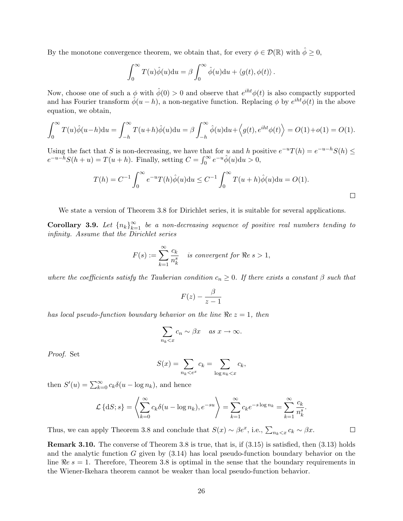By the monotone convergence theorem, we obtain that, for every  $\phi \in \mathcal{D}(\mathbb{R})$  with  $\hat{\phi} \geq 0$ ,

$$
\int_0^\infty T(u)\hat{\phi}(u)du = \beta \int_0^\infty \hat{\phi}(u)du + \langle g(t), \phi(t) \rangle.
$$

Now, choose one of such a  $\phi$  with  $\hat{\phi}(0) > 0$  and observe that  $e^{iht}\phi(t)$  is also compactly supported and has Fourier transform  $\hat{\phi}(u-h)$ , a non-negative function. Replacing  $\phi$  by  $e^{iht}\phi(t)$  in the above equation, we obtain,

$$
\int_0^\infty T(u)\hat{\phi}(u-h)du = \int_{-h}^\infty T(u+h)\hat{\phi}(u)du = \beta \int_{-h}^\infty \hat{\phi}(u)du + \langle g(t), e^{iht}\phi(t) \rangle = O(1) + o(1) = O(1).
$$

Using the fact that S is non-decreasing, we have that for u and h positive  $e^{-u}T(h) = e^{-u-h}S(h) \le$  $e^{-u-h}S(h+u) = T(u+h)$ . Finally, setting  $C = \int_0^\infty e^{-u} \hat{\phi}(u) \mathrm{d}u > 0$ ,

$$
T(h) = C^{-1} \int_0^{\infty} e^{-u} T(h) \hat{\phi}(u) \mathrm{d}u \le C^{-1} \int_0^{\infty} T(u+h) \hat{\phi}(u) \mathrm{d}u = O(1).
$$

We state a version of Theorem 3.8 for Dirichlet series, it is suitable for several applications.

**Corollary 3.9.** Let  $\{n_k\}_{k=1}^{\infty}$  be a non-decreasing sequence of positive real numbers tending to infinity. Assume that the Dirichlet series

$$
F(s) := \sum_{k=1}^{\infty} \frac{c_k}{n_k^s}
$$
 is convergent for  $\Re e s > 1$ ,

where the coefficients satisfy the Tauberian condition  $c_n \geq 0$ . If there exists a constant  $\beta$  such that

$$
F(z) - \frac{\beta}{z-1}
$$

has local pseudo-function boundary behavior on the line  $Re z = 1$ , then

$$
\sum_{n_k < x} c_n \sim \beta x \quad \text{as } x \to \infty.
$$

Proof. Set

$$
S(x) = \sum_{n_k < e^x} c_k = \sum_{\log n_k < x} c_k,
$$

then  $S'(u) = \sum_{k=0}^{\infty} c_k \delta(u - \log n_k)$ , and hence

$$
\mathcal{L}\left\{dS;s\right\} = \left\langle \sum_{k=0}^{\infty} c_k \delta(u - \log n_k), e^{-su} \right\rangle = \sum_{k=1}^{\infty} c_k e^{-s \log n_k} = \sum_{k=1}^{\infty} \frac{c_k}{n_k^s}.
$$

 $\Box$ 

Thus, we can apply Theorem 3.8 and conclude that  $S(x) \sim \beta e^x$ , i.e.,  $\sum_{n_k \leq x} c_k \sim \beta x$ .

Remark 3.10. The converse of Theorem 3.8 is true, that is, if (3.15) is satisfied, then (3.13) holds and the analytic function  $G$  given by  $(3.14)$  has local pseudo-function boundary behavior on the line  $\Re e s = 1$ . Therefore, Theorem 3.8 is optimal in the sense that the boundary requirements in the Wiener-Ikehara theorem cannot be weaker than local pseudo-function behavior.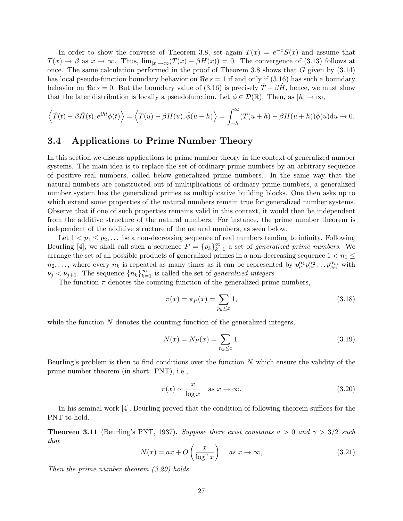In order to show the converse of Theorem 3.8, set again  $T(x) = e^{-x}S(x)$  and assume that  $T(x) \to \beta$  as  $x \to \infty$ . Thus,  $\lim_{|x| \to \infty} (T(x) - \beta H(x)) = 0$ . The convergence of (3.13) follows at once. The same calculation performed in the proof of Theorem 3.8 shows that  $G$  given by  $(3.14)$ has local pseudo-function boundary behavior on  $\Re e s = 1$  if and only if (3.16) has such a boundary behavior on  $\Re e s = 0$ . But the boundary value of (3.16) is precisely  $T - \beta H$ , hence, we must show that the later distribution is locally a pseudofunction. Let  $\phi \in \mathcal{D}(\mathbb{R})$ . Then, as  $|h| \to \infty$ ,

$$
\langle \hat{T}(t) - \beta \hat{H}(t), e^{iht} \phi(t) \rangle = \langle T(u) - \beta H(u), \hat{\phi}(u-h) \rangle = \int_{-h}^{\infty} (T(u+h) - \beta H(u+h)) \hat{\phi}(u) \mathrm{d}u \to 0.
$$

#### 3.4 Applications to Prime Number Theory

In this section we discuss applications to prime number theory in the context of generalized number systems. The main idea is to replace the set of ordinary prime numbers by an arbitrary sequence of positive real numbers, called below generalized prime numbers. In the same way that the natural numbers are constructed out of multiplications of ordinary prime numbers, a generalized number system has the generalized primes as multiplicative building blocks. One then asks up to which extend some properties of the natural numbers remain true for generalized number systems. Observe that if one of such properties remains valid in this context, it would then be independent from the additive structure of the natural numbers. For instance, the prime number theorem is independent of the additive structure of the natural numbers, as seen below.

Let  $1 < p_1 \leq p_2, \ldots$  be a non-decreasing sequence of real numbers tending to infinity. Following Beurling [4], we shall call such a sequence  $P = {p_k}_{k=1}^{\infty}$  a set of *generalized prime numbers*. We arrange the set of all possible products of generalized primes in a non-decreasing sequence  $1 < n_1 \leq$  $n_2,\ldots$ , where every  $n_k$  is repeated as many times as it can be represented by  $p_{\nu_1}^{\alpha_1}p_{\nu_2}^{\alpha_2}\ldots p_{\nu_m}^{\alpha_m}$  with  $\nu_j < \nu_{j+1}$ . The sequence  $\{n_k\}_{k=1}^{\infty}$  is called the set of *generalized integers*.

The function  $\pi$  denotes the counting function of the generalized prime numbers,

$$
\pi(x) = \pi_P(x) = \sum_{p_k \le x} 1,\tag{3.18}
$$

while the function  $N$  denotes the counting function of the generalized integers,

$$
N(x) = N_P(x) = \sum_{n_k \le x} 1.
$$
\n(3.19)

Beurling's problem is then to find conditions over the function  $N$  which ensure the validity of the prime number theorem (in short: PNT), i.e.,

$$
\pi(x) \sim \frac{x}{\log x} \quad \text{as } x \to \infty. \tag{3.20}
$$

In his seminal work [4], Beurling proved that the condition of following theorem suffices for the PNT to hold.

**Theorem 3.11** (Beurling's PNT, 1937). Suppose there exist constants  $a > 0$  and  $\gamma > 3/2$  such that

$$
N(x) = ax + O\left(\frac{x}{\log^{\gamma} x}\right) \quad \text{as } x \to \infty,
$$
\n(3.21)

Then the prime number theorem (3.20) holds.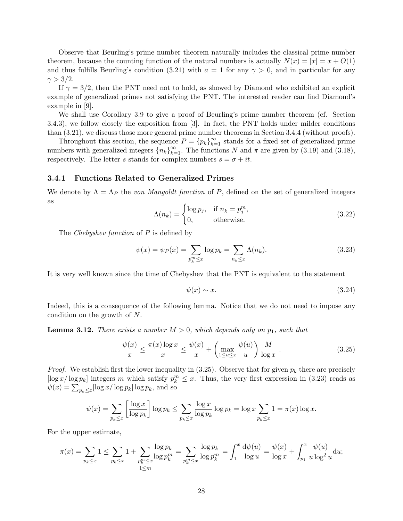Observe that Beurling's prime number theorem naturally includes the classical prime number theorem, because the counting function of the natural numbers is actually  $N(x) = |x| = x + O(1)$ and thus fulfills Beurling's condition (3.21) with  $a = 1$  for any  $\gamma > 0$ , and in particular for any  $\gamma > 3/2$ .

If  $\gamma = 3/2$ , then the PNT need not to hold, as showed by Diamond who exhibited an explicit example of generalized primes not satisfying the PNT. The interested reader can find Diamond's example in [9].

We shall use Corollary 3.9 to give a proof of Beurling's prime number theorem (cf. Section 3.4.3), we follow closely the exposition from [3]. In fact, the PNT holds under milder conditions than (3.21), we discuss those more general prime number theorems in Section 3.4.4 (without proofs).

Throughout this section, the sequence  $P = {p_k}_{k=1}^{\infty}$  stands for a fixed set of generalized prime numbers with generalized integers  $\{n_k\}_{k=1}^{\infty}$ . The functions N and  $\pi$  are given by (3.19) and (3.18), respectively. The letter s stands for complex numbers  $s = \sigma + it$ .

#### 3.4.1 Functions Related to Generalized Primes

We denote by  $\Lambda = \Lambda_P$  the von Mangoldt function of P, defined on the set of generalized integers as

$$
\Lambda(n_k) = \begin{cases} \log p_j, & \text{if } n_k = p_j^m, \\ 0, & \text{otherwise.} \end{cases}
$$
\n(3.22)

The *Chebyshev function* of P is defined by

$$
\psi(x) = \psi_P(x) = \sum_{p_k^m \le x} \log p_k = \sum_{n_k \le x} \Lambda(n_k). \tag{3.23}
$$

It is very well known since the time of Chebyshev that the PNT is equivalent to the statement

$$
\psi(x) \sim x. \tag{3.24}
$$

Indeed, this is a consequence of the following lemma. Notice that we do not need to impose any condition on the growth of N.

**Lemma 3.12.** There exists a number  $M > 0$ , which depends only on  $p_1$ , such that

$$
\frac{\psi(x)}{x} \le \frac{\pi(x)\log x}{x} \le \frac{\psi(x)}{x} + \left(\max_{1 \le u \le x} \frac{\psi(u)}{u}\right) \frac{M}{\log x} .
$$
\n(3.25)

*Proof.* We establish first the lower inequality in  $(3.25)$ . Observe that for given  $p_k$  there are precisely  $\left[\log x/\log p_k\right]$  integers m which satisfy  $p_k^m \leq x$ . Thus, the very first expression in (3.23) reads as  $\psi(x) = \sum_{p_k \leq x} [\log x / \log p_k] \log p_k$ , and so

$$
\psi(x) = \sum_{p_k \le x} \left[ \frac{\log x}{\log p_k} \right] \log p_k \le \sum_{p_k \le x} \frac{\log x}{\log p_k} \log p_k = \log x \sum_{p_k \le x} 1 = \pi(x) \log x.
$$

For the upper estimate,

$$
\pi(x) = \sum_{p_k \le x} 1 \le \sum_{p_k \le x} 1 + \sum_{\substack{p_k^m \le x \\ 1 \le m}} \frac{\log p_k}{\log p_k^m} = \sum_{p_k^m \le x} \frac{\log p_k}{\log p_k^m} = \int_1^x \frac{d\psi(u)}{\log u} = \frac{\psi(x)}{\log x} + \int_{p_1}^x \frac{\psi(u)}{u \log^2 u} du;
$$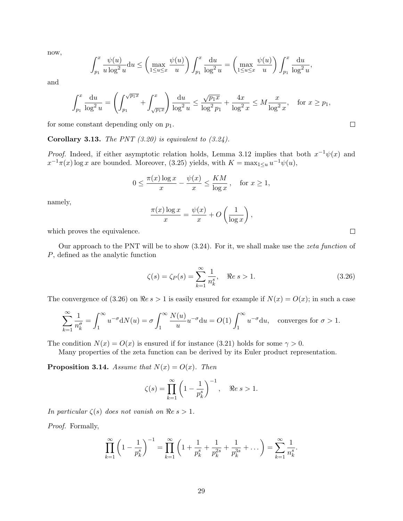now,

$$
\int_{p_1}^x \frac{\psi(u)}{u \log^2 u} du \le \left( \max_{1 \le u \le x} \frac{\psi(u)}{u} \right) \int_{p_1}^x \frac{du}{\log^2 u} = \left( \max_{1 \le u \le x} \frac{\psi(u)}{u} \right) \int_{p_1}^x \frac{du}{\log^2 u},
$$

and

$$
\int_{p_1}^x \frac{du}{\log^2 u} = \left( \int_{p_1}^{\sqrt{p_1 x}} + \int_{\sqrt{p_1 x}}^x \right) \frac{du}{\log^2 u} \le \frac{\sqrt{p_1 x}}{\log^2 p_1} + \frac{4x}{\log^2 x} \le M \frac{x}{\log^2 x}, \quad \text{for } x \ge p_1,
$$

for some constant depending only on  $p_1$ .

**Corollary 3.13.** The PNT  $(3.20)$  is equivalent to  $(3.24)$ .

*Proof.* Indeed, if either asymptotic relation holds, Lemma 3.12 implies that both  $x^{-1}\psi(x)$  and  $x^{-1}\pi(x)$  log x are bounded. Moreover, (3.25) yields, with  $K = \max_{1 \le u} u^{-1}\psi(u)$ ,

$$
0 \le \frac{\pi(x) \log x}{x} - \frac{\psi(x)}{x} \le \frac{KM}{\log x}, \quad \text{for } x \ge 1,
$$

namely,

$$
\frac{\pi(x)\log x}{x} = \frac{\psi(x)}{x} + O\left(\frac{1}{\log x}\right),\,
$$

which proves the equivalence.

Our approach to the PNT will be to show (3.24). For it, we shall make use the zeta function of P, defined as the analytic function

$$
\zeta(s) = \zeta_P(s) = \sum_{k=1}^{\infty} \frac{1}{n_k^s}, \quad \Re e \, s > 1. \tag{3.26}
$$

The convergence of (3.26) on  $\Re e s > 1$  is easily ensured for example if  $N(x) = O(x)$ ; in such a case

$$
\sum_{k=1}^{\infty} \frac{1}{n_k^{\sigma}} = \int_1^{\infty} u^{-\sigma} dN(u) = \sigma \int_1^{\infty} \frac{N(u)}{u} u^{-\sigma} du = O(1) \int_1^{\infty} u^{-\sigma} du, \text{ converges for } \sigma > 1.
$$

The condition  $N(x) = O(x)$  is ensured if for instance (3.21) holds for some  $\gamma > 0$ .

Many properties of the zeta function can be derived by its Euler product representation.

**Proposition 3.14.** Assume that  $N(x) = O(x)$ . Then

$$
\zeta(s) = \prod_{k=1}^{\infty} \left( 1 - \frac{1}{p_k^s} \right)^{-1}, \quad \Re e \, s > 1.
$$

In particular  $\zeta(s)$  does not vanish on  $\Re e \, s > 1$ .

Proof. Formally,

$$
\prod_{k=1}^{\infty} \left(1 - \frac{1}{p_k^s}\right)^{-1} = \prod_{k=1}^{\infty} \left(1 + \frac{1}{p_k^s} + \frac{1}{p_k^{2s}} + \frac{1}{p_k^{3s}} + \dots\right) = \sum_{k=1}^{\infty} \frac{1}{n_k^s}.
$$

 $\Box$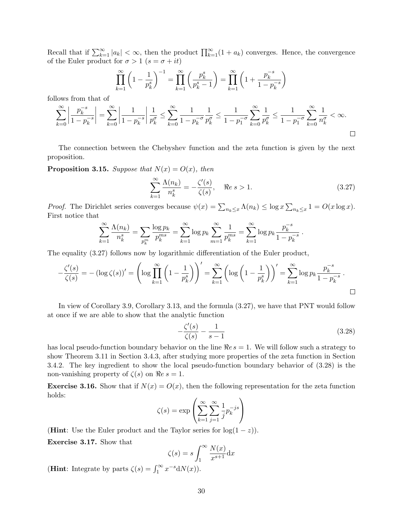Recall that if  $\sum_{k=1}^{\infty} |a_k| < \infty$ , then the product  $\prod_{k=1}^{\infty} (1 + a_k)$  converges. Hence, the convergence of the Euler product for  $\sigma > 1$   $(s = \sigma + it)$ 

$$
\prod_{k=1}^{\infty} \left( 1 - \frac{1}{p_k^s} \right)^{-1} = \prod_{k=1}^{\infty} \left( \frac{p_k^s}{p_k^s - 1} \right) = \prod_{k=1}^{\infty} \left( 1 + \frac{p_k^{-s}}{1 - p_k^{-s}} \right)
$$

follows from that of

$$
\sum_{k=0}^{\infty} \left| \frac{p_k^{-s}}{1-p_k^{-s}} \right| = \sum_{k=0}^{\infty} \left| \frac{1}{1-p_k^{-s}} \right| \frac{1}{p_k^{\sigma}} \le \sum_{k=0}^{\infty} \frac{1}{1-p_k^{-\sigma}} \frac{1}{p_k^{\sigma}} \le \frac{1}{1-p_1^{-\sigma}} \sum_{k=0}^{\infty} \frac{1}{p_k^{\sigma}} \le \frac{1}{1-p_1^{-\sigma}} \sum_{k=0}^{\infty} \frac{1}{n_k^{\sigma}} < \infty.
$$

The connection between the Chebyshev function and the zeta function is given by the next proposition.

**Proposition 3.15.** Suppose that  $N(x) = O(x)$ , then

$$
\sum_{k=1}^{\infty} \frac{\Lambda(n_k)}{n_k^s} = -\frac{\zeta'(s)}{\zeta(s)}, \quad \Rees > 1.
$$
\n(3.27)

*Proof.* The Dirichlet series converges because  $\psi(x) = \sum_{n_k \leq x} \Lambda(n_k) \leq \log x \sum_{n_k \leq x} 1 = O(x \log x)$ . First notice that

$$
\sum_{k=1}^{\infty} \frac{\Lambda(n_k)}{n_k^s} = \sum_{p_k^m} \frac{\log p_k}{p_k^{ms}} = \sum_{k=1}^{\infty} \log p_k \sum_{m=1}^{\infty} \frac{1}{p_k^{ms}} = \sum_{k=1}^{\infty} \log p_k \frac{p_k^{-s}}{1 - p_k^{-s}}.
$$

The equality (3.27) follows now by logarithmic differentiation of the Euler product,

$$
-\frac{\zeta'(s)}{\zeta(s)} = -\left(\log \zeta(s)\right)' = \left(\log \prod_{k=1}^{\infty} \left(1 - \frac{1}{p_k^s}\right)\right)' = \sum_{k=1}^{\infty} \left(\log \left(1 - \frac{1}{p_k^s}\right)\right)' = \sum_{k=1}^{\infty} \log p_k \frac{p_k^{-s}}{1 - p_k^{-s}}.
$$

In view of Corollary 3.9, Corollary 3.13, and the formula (3.27), we have that PNT would follow at once if we are able to show that the analytic function

$$
-\frac{\zeta'(s)}{\zeta(s)} - \frac{1}{s-1} \tag{3.28}
$$

has local pseudo-function boundary behavior on the line  $\Re e s = 1$ . We will follow such a strategy to show Theorem 3.11 in Section 3.4.3, after studying more properties of the zeta function in Section 3.4.2. The key ingredient to show the local pseudo-function boundary behavior of (3.28) is the non-vanishing property of  $\zeta(s)$  on  $\Re e s = 1$ .

**Exercise 3.16.** Show that if  $N(x) = O(x)$ , then the following representation for the zeta function holds:

$$
\zeta(s) = \exp\left(\sum_{k=1}^{\infty} \sum_{j=1}^{\infty} \frac{1}{j} p_k^{-js}\right)
$$

(**Hint**: Use the Euler product and the Taylor series for  $log(1-z)$ ). Exercise 3.17. Show that

$$
\zeta(s) = s \int_1^\infty \frac{N(x)}{x^{s+1}} \mathrm{d}x
$$

(**Hint**: Integrate by parts  $\zeta(s) = \int_1^\infty x^{-s} dN(x)$ ).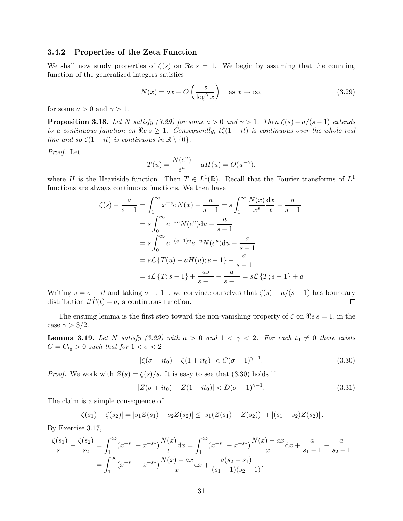#### 3.4.2 Properties of the Zeta Function

We shall now study properties of  $\zeta(s)$  on  $\Re e s = 1$ . We begin by assuming that the counting function of the generalized integers satisfies

$$
N(x) = ax + O\left(\frac{x}{\log^{\gamma} x}\right) \quad \text{as } x \to \infty,
$$
\n(3.29)

for some  $a > 0$  and  $\gamma > 1$ .

**Proposition 3.18.** Let N satisfy (3.29) for some  $a > 0$  and  $\gamma > 1$ . Then  $\zeta(s) - a/(s-1)$  extends to a continuous function on  $\Re e s \geq 1$ . Consequently,  $t\zeta(1+it)$  is continuous over the whole real line and so  $\zeta(1+it)$  is continuous in  $\mathbb{R}\setminus\{0\}$ .

Proof. Let

$$
T(u) = \frac{N(e^u)}{e^u} - aH(u) = O(u^{-\gamma}).
$$

where H is the Heaviside function. Then  $T \in L^1(\mathbb{R})$ . Recall that the Fourier transforms of  $L^1$ functions are always continuous functions. We then have

$$
\zeta(s) - \frac{a}{s-1} = \int_1^{\infty} x^{-s} dN(x) - \frac{a}{s-1} = s \int_1^{\infty} \frac{N(x) dx}{x^s} - \frac{a}{s-1}
$$
  
=  $s \int_0^{\infty} e^{-su} N(e^u) du - \frac{a}{s-1}$   
=  $s \int_0^{\infty} e^{-(s-1)u} e^{-u} N(e^u) du - \frac{a}{s-1}$   
=  $s\mathcal{L} \{T(u) + aH(u); s-1\} - \frac{a}{s-1}$   
=  $s\mathcal{L} \{T; s-1\} + \frac{as}{s-1} - \frac{a}{s-1} = s\mathcal{L} \{T; s-1\} + a$ 

Writing  $s = \sigma + it$  and taking  $\sigma \to 1^+$ , we convince ourselves that  $\zeta(s) - a/(s-1)$  has boundary distribution  $it\hat{T}(t) + a$ , a continuous function.  $\Box$ 

The ensuing lemma is the first step toward the non-vanishing property of  $\zeta$  on  $\Re e s = 1$ , in the case  $\gamma > 3/2$ .

**Lemma 3.19.** Let N satisfy (3.29) with  $a > 0$  and  $1 < \gamma < 2$ . For each  $t_0 \neq 0$  there exists  $C = C_{t_0} > 0$  such that for  $1 < \sigma < 2$ 

$$
|\zeta(\sigma + it_0) - \zeta(1 + it_0)| < C(\sigma - 1)^{\gamma - 1}.\tag{3.30}
$$

*Proof.* We work with  $Z(s) = \zeta(s)/s$ . It is easy to see that (3.30) holds if

$$
|Z(\sigma + it_0) - Z(1 + it_0)| < D(\sigma - 1)^{\gamma - 1}.\tag{3.31}
$$

The claim is a simple consequence of

$$
|\zeta(s_1)-\zeta(s_2)|=|s_1Z(s_1)-s_2Z(s_2)|\leq |s_1(Z(s_1)-Z(s_2))|+|(s_1-s_2)Z(s_2)|.
$$

By Exercise 3.17,

$$
\frac{\zeta(s_1)}{s_1} - \frac{\zeta(s_2)}{s_2} = \int_1^\infty (x^{-s_1} - x^{-s_2}) \frac{N(x)}{x} dx = \int_1^\infty (x^{-s_1} - x^{-s_2}) \frac{N(x) - ax}{x} dx + \frac{a}{s_1 - 1} - \frac{a}{s_2 - 1}
$$

$$
= \int_1^\infty (x^{-s_1} - x^{-s_2}) \frac{N(x) - ax}{x} dx + \frac{a(s_2 - s_1)}{(s_1 - 1)(s_2 - 1)}.
$$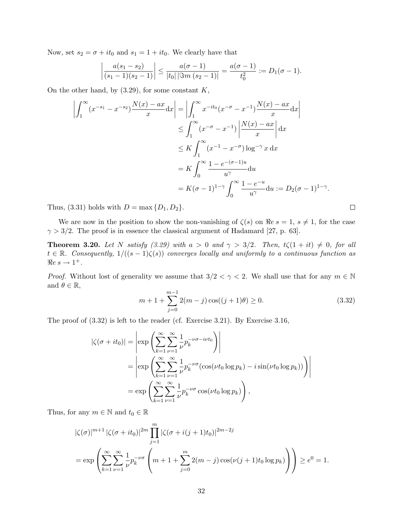Now, set  $s_2 = \sigma + it_0$  and  $s_1 = 1 + it_0$ . We clearly have that

$$
\left|\frac{a(s_1-s_2)}{(s_1-1)(s_2-1)}\right| \leq \frac{a(\sigma-1)}{|t_0| \, |\Im m\,(s_2-1)|} = \frac{a(\sigma-1)}{t_0^2} := D_1(\sigma-1).
$$

On the other hand, by  $(3.29)$ , for some constant  $K$ ,

$$
\left| \int_{1}^{\infty} (x^{-s_1} - x^{-s_2}) \frac{N(x) - ax}{x} dx \right| = \left| \int_{1}^{\infty} x^{-it_0} (x^{-\sigma} - x^{-1}) \frac{N(x) - ax}{x} dx \right|
$$
  
\n
$$
\leq \int_{1}^{\infty} (x^{-\sigma} - x^{-1}) \left| \frac{N(x) - ax}{x} \right| dx
$$
  
\n
$$
\leq K \int_{1}^{\infty} (x^{-1} - x^{-\sigma}) \log^{-\gamma} x dx
$$
  
\n
$$
= K \int_{0}^{\infty} \frac{1 - e^{-(\sigma - 1)u}}{u^{\gamma}} du
$$
  
\n
$$
= K(\sigma - 1)^{1-\gamma} \int_{0}^{\infty} \frac{1 - e^{-u}}{u^{\gamma}} du := D_2(\sigma - 1)^{1-\gamma}.
$$

Thus, (3.31) holds with  $D = \max\{D_1, D_2\}.$ 

We are now in the position to show the non-vanishing of  $\zeta(s)$  on  $\Re e s = 1, s \neq 1$ , for the case  $\gamma > 3/2$ . The proof is in essence the classical argument of Hadamard [27, p. 63].

**Theorem 3.20.** Let N satisfy (3.29) with  $a > 0$  and  $\gamma > 3/2$ . Then,  $t\zeta(1 + it) \neq 0$ , for all  $t \in \mathbb{R}$ . Consequently,  $1/((s-1)\zeta(s))$  converges locally and uniformly to a continuous function as  $\Re e \, s \to 1^+$ .

*Proof.* Without lost of generality we assume that  $3/2 < \gamma < 2$ . We shall use that for any  $m \in \mathbb{N}$ and  $\theta \in \mathbb{R}$ ,

$$
m + 1 + \sum_{j=0}^{m-1} 2(m - j) \cos((j+1)\theta) \ge 0.
$$
 (3.32)

The proof of (3.32) is left to the reader (cf. Exercise 3.21). By Exercise 3.16,

$$
\begin{split} |\zeta(\sigma+it_0)| &= \left| \exp\left(\sum_{k=1}^{\infty} \sum_{\nu=1}^{\infty} \frac{1}{\nu} p_k^{-\nu \sigma - i\nu t_0}\right) \right| \\ &= \left| \exp\left(\sum_{k=1}^{\infty} \sum_{\nu=1}^{\infty} \frac{1}{\nu} p_k^{-\nu \sigma} (\cos(\nu t_0 \log p_k) - i \sin(\nu t_0 \log p_k))\right) \right| \\ &= \exp\left(\sum_{k=1}^{\infty} \sum_{\nu=1}^{\infty} \frac{1}{\nu} p_k^{-\nu \sigma} \cos(\nu t_0 \log p_k)\right), \end{split}
$$

Thus, for any  $m \in \mathbb{N}$  and  $t_0 \in \mathbb{R}$ 

$$
|\zeta(\sigma)|^{m+1} |\zeta(\sigma + it_0)|^{2m} \prod_{j=1}^m |\zeta(\sigma + i(j+1)t_0)|^{2m-2j}
$$
  
=  $\exp\left(\sum_{k=1}^\infty \sum_{\nu=1}^\infty \frac{1}{\nu} p_k^{-\nu\sigma} \left(m+1+\sum_{j=0}^m 2(m-j)\cos(\nu(j+1)t_0\log p_k)\right)\right) \ge e^0 = 1.$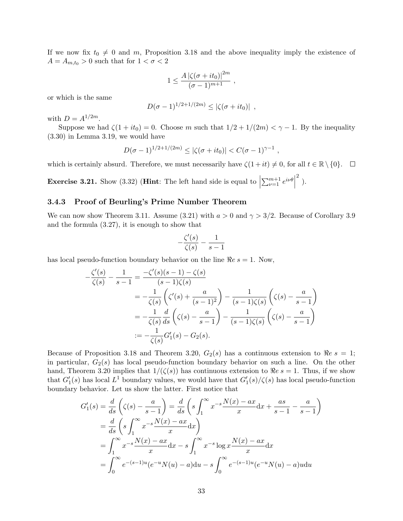If we now fix  $t_0 \neq 0$  and m, Proposition 3.18 and the above inequality imply the existence of  $A = A_{m,t_0} > 0$  such that for  $1 < \sigma < 2$ 

$$
1 \leq \frac{A\left|\zeta(\sigma + it_0)\right|^{2m}}{(\sigma - 1)^{m+1}} \;,
$$

or which is the same

$$
D(\sigma - 1)^{1/2 + 1/(2m)} \leq |\zeta(\sigma + it_0)| ,
$$

with  $D = A^{1/2m}$ .

Suppose we had  $\zeta(1 + it_0) = 0$ . Choose m such that  $1/2 + 1/(2m) < \gamma - 1$ . By the inequality (3.30) in Lemma 3.19, we would have

$$
D(\sigma - 1)^{1/2 + 1/(2m)} \le |\zeta(\sigma + it_0)| < C(\sigma - 1)^{\gamma - 1} ,
$$

which is certainly absurd. Therefore, we must necessarily have  $\zeta(1+it) \neq 0$ , for all  $t \in \mathbb{R} \setminus \{0\}$ .  $\Box$ 

**Exercise 3.21.** Show (3.32) (**Hint**: The left hand side is equal to  $\vert$  $\sum_{\nu=1}^{m+1} e^{i\nu\theta}$  $\begin{matrix} 2 \end{matrix}$ ).

#### 3.4.3 Proof of Beurling's Prime Number Theorem

We can now show Theorem 3.11. Assume (3.21) with  $a > 0$  and  $\gamma > 3/2$ . Because of Corollary 3.9 and the formula (3.27), it is enough to show that

$$
-\frac{\zeta'(s)}{\zeta(s)} - \frac{1}{s-1}
$$

has local pseudo-function boundary behavior on the line  $\Re e s = 1$ . Now,

$$
-\frac{\zeta'(s)}{\zeta(s)} - \frac{1}{s-1} = \frac{-\zeta'(s)(s-1) - \zeta(s)}{(s-1)\zeta(s)}
$$
  
=  $-\frac{1}{\zeta(s)} \left( \zeta'(s) + \frac{a}{(s-1)^2} \right) - \frac{1}{(s-1)\zeta(s)} \left( \zeta(s) - \frac{a}{s-1} \right)$   
=  $-\frac{1}{\zeta(s)} \frac{d}{ds} \left( \zeta(s) - \frac{a}{s-1} \right) - \frac{1}{(s-1)\zeta(s)} \left( \zeta(s) - \frac{a}{s-1} \right)$   
:=  $-\frac{1}{\zeta(s)} G'_1(s) - G_2(s).$ 

Because of Proposition 3.18 and Theorem 3.20,  $G_2(s)$  has a continuous extension to  $\Re e s = 1$ ; in particular,  $G_2(s)$  has local pseudo-function boundary behavior on such a line. On the other hand, Theorem 3.20 implies that  $1/(\zeta(s))$  has continuous extension to  $\Re e s = 1$ . Thus, if we show that  $G_1'(s)$  has local  $L^1$  boundary values, we would have that  $G_1'(s)/\zeta(s)$  has local pseudo-function boundary behavior. Let us show the latter. First notice that

$$
G_1'(s) = \frac{d}{ds} \left( \zeta(s) - \frac{a}{s-1} \right) = \frac{d}{ds} \left( s \int_1^\infty x^{-s} \frac{N(x) - ax}{x} dx + \frac{as}{s-1} - \frac{a}{s-1} \right)
$$
  

$$
= \frac{d}{ds} \left( s \int_1^\infty x^{-s} \frac{N(x) - ax}{x} dx \right)
$$
  

$$
= \int_1^\infty x^{-s} \frac{N(x) - ax}{x} dx - s \int_1^\infty x^{-s} \log x \frac{N(x) - ax}{x} dx
$$
  

$$
= \int_0^\infty e^{-(s-1)u} (e^{-u} N(u) - a) du - s \int_0^\infty e^{-(s-1)u} (e^{-u} N(u) - a) u du
$$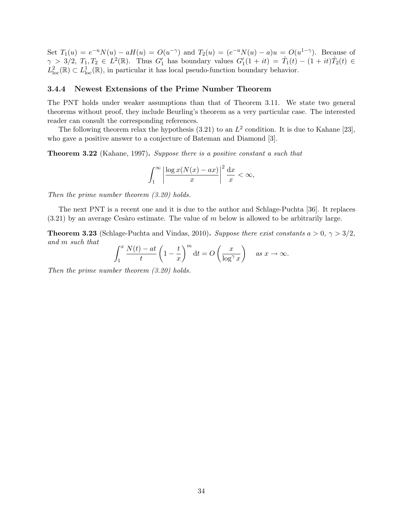Set  $T_1(u) = e^{-u}N(u) - aH(u) = O(u^{-\gamma})$  and  $T_2(u) = (e^{-u}N(u) - a)u = O(u^{1-\gamma})$ . Because of  $\gamma > 3/2, T_1, T_2 \in L^2(\mathbb{R})$ . Thus  $G'_1$  has boundary values  $G'_1(1 + it) = \hat{T}_1(t) - (1 + it)\hat{T}_2(t) \in$  $L^2_{loc}(\mathbb{R}) \subset L^1_{loc}(\mathbb{R})$ , in particular it has local pseudo-function boundary behavior.

#### 3.4.4 Newest Extensions of the Prime Number Theorem

The PNT holds under weaker assumptions than that of Theorem 3.11. We state two general theorems without proof, they include Beurling's theorem as a very particular case. The interested reader can consult the corresponding references.

The following theorem relax the hypothesis (3.21) to an  $L^2$  condition. It is due to Kahane [23], who gave a positive answer to a conjecture of Bateman and Diamond [3].

Theorem 3.22 (Kahane, 1997). Suppose there is a positive constant a such that

$$
\int_1^\infty \left| \frac{\log x (N(x) - ax)}{x} \right|^2 \frac{\mathrm{d}x}{x} < \infty,
$$

Then the prime number theorem (3.20) holds.

The next PNT is a recent one and it is due to the author and Schlage-Puchta [36]. It replaces  $(3.21)$  by an average Cesaro estimate. The value of m below is allowed to be arbitrarily large.

**Theorem 3.23** (Schlage-Puchta and Vindas, 2010). Suppose there exist constants  $a > 0$ ,  $\gamma > 3/2$ , and m such that

$$
\int_1^x \frac{N(t) - at}{t} \left(1 - \frac{t}{x}\right)^m dt = O\left(\frac{x}{\log^\gamma x}\right) \quad \text{as } x \to \infty.
$$

Then the prime number theorem (3.20) holds.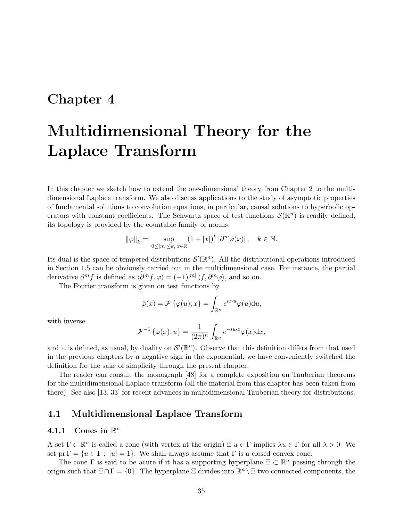## Chapter 4

# Multidimensional Theory for the Laplace Transform

In this chapter we sketch how to extend the one-dimensional theory from Chapter 2 to the multidimensional Laplace transform. We also discuss applications to the study of asymptotic properties of fundamental solutions to convolution equations, in particular, causal solutions to hyperbolic operators with constant coefficients. The Schwartz space of test functions  $\mathcal{S}(\mathbb{R}^n)$  is readily defined, its topology is provided by the countable family of norms

$$
\|\varphi\|_{k} = \sup_{0 \le |m| \le k, x \in \mathbb{R}} (1 + |x|)^{k} \left| \partial^{m} \varphi(x) \right|, \quad k \in \mathbb{N}.
$$

Its dual is the space of tempered distributions  $\mathcal{S}'(\mathbb{R}^n)$ . All the distributional operations introduced in Section 1.5 can be obviously carried out in the multidimensional case. For instance, the partial derivative  $\partial^m f$  is defined as  $\langle \partial^m f, \varphi \rangle = (-1)^{|m|} \langle f, \partial^m \varphi \rangle$ , and so on.

The Fourier transform is given on test functions by

$$
\hat{\varphi}(x) = \mathcal{F}\{\varphi(u); x\} = \int_{\mathbb{R}^n} e^{ix \cdot u} \varphi(u) \mathrm{d}u,
$$

with inverse

$$
\mathcal{F}^{-1}\left\{\varphi(x);u\right\} = \frac{1}{(2\pi)^n} \int_{\mathbb{R}^n} e^{-iu \cdot x} \varphi(x) \mathrm{d}x,
$$

and it is defined, as usual, by duality on  $\mathcal{S}'(\mathbb{R}^n)$ . Observe that this definition differs from that used in the previous chapters by a negative sign in the exponential, we have conveniently switched the definition for the sake of simplicity through the present chapter.

The reader can consult the monograph [48] for a complete exposition on Tauberian theorems for the multidimensional Laplace transform (all the material from this chapter has been taken from there). See also [13, 33] for recent advances in multidimensional Tauberian theory for distributions.

### 4.1 Multidimensional Laplace Transform

### 4.1.1 Cones in  $\mathbb{R}^n$

A set  $\Gamma \subset \mathbb{R}^n$  is called a cone (with vertex at the origin) if  $u \in \Gamma$  implies  $\lambda u \in \Gamma$  for all  $\lambda > 0$ . We set pr  $\Gamma = \{u \in \Gamma : |u| = 1\}$ . We shall always assume that  $\Gamma$  is a closed convex cone.

The cone  $\Gamma$  is said to be acute if it has a supporting hyperplane  $\Xi \subset \mathbb{R}^n$  passing through the origin such that  $\Xi \cap \Gamma = \{0\}$ . The hyperplane  $\Xi$  divides into  $\mathbb{R}^n \setminus \Xi$  two connected components, the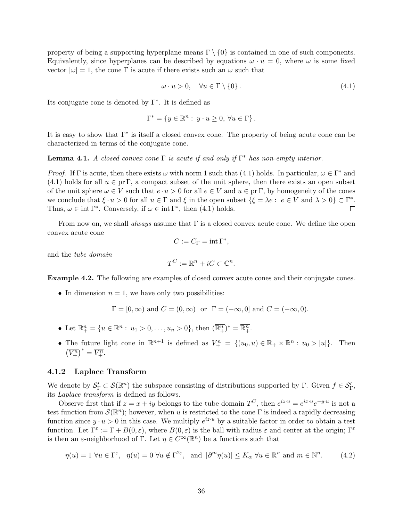property of being a supporting hyperplane means  $\Gamma \setminus \{0\}$  is contained in one of such components. Equivalently, since hyperplanes can be described by equations  $\omega \cdot u = 0$ , where  $\omega$  is some fixed vector  $|\omega| = 1$ , the cone Γ is acute if there exists such an  $\omega$  such that

$$
\omega \cdot u > 0, \quad \forall u \in \Gamma \setminus \{0\}. \tag{4.1}
$$

Its conjugate cone is denoted by  $\Gamma^*$ . It is defined as

$$
\Gamma^* = \{ y \in \mathbb{R}^n : y \cdot u \ge 0, \,\forall u \in \Gamma \}.
$$

It is easy to show that  $\Gamma^*$  is itself a closed convex cone. The property of being acute cone can be characterized in terms of the conjugate cone.

#### **Lemma 4.1.** A closed convex cone  $\Gamma$  is acute if and only if  $\Gamma^*$  has non-empty interior.

*Proof.* If  $\Gamma$  is acute, then there exists  $\omega$  with norm 1 such that (4.1) holds. In particular,  $\omega \in \Gamma^*$  and (4.1) holds for all  $u \in pr \Gamma$ , a compact subset of the unit sphere, then there exists an open subset of the unit sphere  $\omega \in V$  such that  $e \cdot u > 0$  for all  $e \in V$  and  $u \in pr \Gamma$ , by homogeneity of the cones we conclude that  $\xi \cdot u > 0$  for all  $u \in \Gamma$  and  $\xi$  in the open subset  $\{\xi = \lambda e : e \in V \text{ and } \lambda > 0\} \subset \Gamma^*$ . Thus,  $\omega \in \text{int }\Gamma^*$ . Conversely, if  $\omega \in \text{int }\Gamma^*$ , then (4.1) holds.  $\Box$ 

From now on, we shall *always* assume that  $\Gamma$  is a closed convex acute cone. We define the open convex acute cone

$$
C:=C_\Gamma=\mathop{\rm int}\nolimits\Gamma^*,
$$

and the tube domain

$$
T^C := \mathbb{R}^n + iC \subset \mathbb{C}^n.
$$

Example 4.2. The following are examples of closed convex acute cones and their conjugate cones.

• In dimension  $n = 1$ , we have only two possibilities:

$$
\Gamma = [0, \infty)
$$
 and  $C = (0, \infty)$  or  $\Gamma = (-\infty, 0]$  and  $C = (-\infty, 0)$ .

- Let  $\mathbb{R}^n_+ = \{u \in \mathbb{R}^n : u_1 > 0, \ldots, u_n > 0\}$ , then  $(\overline{\mathbb{R}^n_+})^* = \overline{\mathbb{R}^n_+}$ .
- The future light cone in  $\mathbb{R}^{n+1}$  is defined as  $V_+^n = \{(u_0, u) \in \mathbb{R}_+ \times \mathbb{R}^n : u_0 > |u|\}.$  Then  $(\overline{V_+^n})^* = \overline{V_+^n}.$

#### 4.1.2 Laplace Transform

We denote by  $\mathcal{S}'_{\Gamma} \subset \mathcal{S}(\mathbb{R}^n)$  the subspace consisting of distributions supported by  $\Gamma$ . Given  $f \in \mathcal{S}'_{\Gamma}$ , its Laplace transform is defined as follows.

Observe first that if  $z = x + iy$  belongs to the tube domain  $T^C$ , then  $e^{iz \cdot u} = e^{ix \cdot u} e^{-y \cdot u}$  is not a test function from  $\mathcal{S}(\mathbb{R}^n)$ ; however, when u is restricted to the cone  $\Gamma$  is indeed a rapidly decreasing function since  $y \cdot u > 0$  in this case. We multiply  $e^{iz \cdot u}$  by a suitable factor in order to obtain a test function. Let  $\Gamma^{\varepsilon} := \Gamma + B(0, \varepsilon)$ , where  $B(0, \varepsilon)$  is the ball with radius  $\varepsilon$  and center at the origin;  $\Gamma^{\varepsilon}$ is then an  $\varepsilon$ -neighborhood of  $\Gamma$ . Let  $\eta \in C^{\infty}(\mathbb{R}^n)$  be a functions such that

$$
\eta(u) = 1 \,\forall u \in \Gamma^{\varepsilon}, \quad \eta(u) = 0 \,\forall u \notin \Gamma^{2\varepsilon}, \quad \text{and } |\partial^m \eta(u)| \le K_\alpha \,\forall u \in \mathbb{R}^n \text{ and } m \in \mathbb{N}^n. \tag{4.2}
$$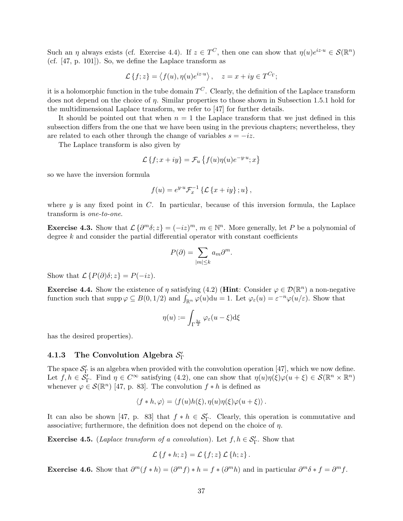Such an  $\eta$  always exists (cf. Exercise 4.4). If  $z \in T^C$ , then one can show that  $\eta(u)e^{iz \cdot u} \in \mathcal{S}(\mathbb{R}^n)$ (cf. [47, p. 101]). So, we define the Laplace transform as

$$
\mathcal{L}\left\{f;z\right\} = \left\langle f(u), \eta(u)e^{iz \cdot u} \right\rangle, \quad z = x + iy \in T^{C_{\Gamma}};
$$

it is a holomorphic function in the tube domain  $T^C$ . Clearly, the definition of the Laplace transform does not depend on the choice of  $\eta$ . Similar properties to those shown in Subsection 1.5.1 hold for the multidimensional Laplace transform, we refer to [47] for further details.

It should be pointed out that when  $n = 1$  the Laplace transform that we just defined in this subsection differs from the one that we have been using in the previous chapters; nevertheless, they are related to each other through the change of variables  $s = -iz$ .

The Laplace transform is also given by

$$
\mathcal{L}\left\{f; x+iy\right\} = \mathcal{F}_u\left\{f(u)\eta(u)e^{-y\cdot u}; x\right\}
$$

so we have the inversion formula

$$
f(u) = e^{y \cdot u} \mathcal{F}_x^{-1} \left\{ \mathcal{L} \left\{ x + iy \right\}; u \right\},\,
$$

where  $y$  is any fixed point in  $C$ . In particular, because of this inversion formula, the Laplace transform is one-to-one.

**Exercise 4.3.** Show that  $\mathcal{L}\{\partial^m \delta; z\} = (-iz)^m$ ,  $m \in \mathbb{N}^n$ . More generally, let P be a polynomial of degree  $k$  and consider the partial differential operator with constant coefficients

$$
P(\partial) = \sum_{|m| \le k} a_m \partial^m.
$$

Show that  $\mathcal{L} \{ P(\partial) \delta : z \} = P(-iz)$ .

**Exercise 4.4.** Show the existence of  $\eta$  satisfying (4.2) (**Hint**: Consider  $\varphi \in \mathcal{D}(\mathbb{R}^n)$  a non-negative function such that  $\text{supp}\,\varphi \subseteq B(0,1/2)$  and  $\int_{\mathbb{R}^n} \varphi(u) \, du = 1$ . Let  $\varphi_{\varepsilon}(u) = \varepsilon^{-n} \varphi(u/\varepsilon)$ . Show that

$$
\eta(u) := \int_{\Gamma^{\frac{3\varepsilon}{2}}} \varphi_{\varepsilon}(u - \xi) d\xi
$$

has the desired properties).

## 4.1.3 The Convolution Algebra  $\mathcal{S}_{\Gamma}'$

The space  $S'_{\Gamma}$  is an algebra when provided with the convolution operation [47], which we now define. Let  $f, h \in \mathcal{S}'_{\Gamma}$ . Find  $\eta \in C^{\infty}$  satisfying (4.2), one can show that  $\eta(u)\eta(\xi)\varphi(u+\xi) \in \mathcal{S}(\mathbb{R}^n \times \mathbb{R}^n)$ whenever  $\varphi \in \mathcal{S}(\mathbb{R}^n)$  [47, p. 83]. The convolution  $f * h$  is defined as

$$
\langle f * h, \varphi \rangle = \langle f(u)h(\xi), \eta(u)\eta(\xi)\varphi(u+\xi) \rangle.
$$

It can also be shown [47, p. 83] that  $f * h \in S'_{\Gamma}$ . Clearly, this operation is commutative and associative; furthermore, the definition does not depend on the choice of  $\eta$ .

**Exercise 4.5.** (Laplace transform of a convolution). Let  $f, h \in S'_{\Gamma}$ . Show that

$$
\mathcal{L}\left\{f * h; z\right\} = \mathcal{L}\left\{f; z\right\} \mathcal{L}\left\{h; z\right\}.
$$

Exercise 4.6. Show that  $\partial^m(f * h) = (\partial^m f) * h = f * (\partial^m h)$  and in particular  $\partial^m \delta * f = \partial^m f$ .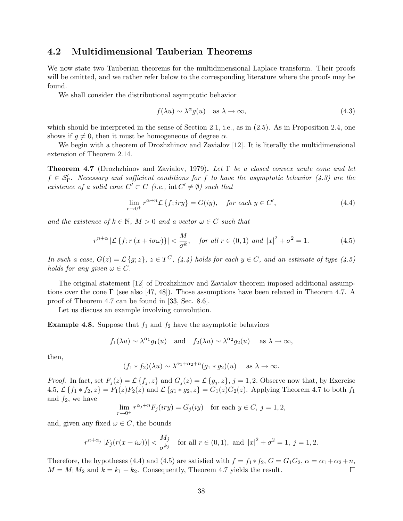### 4.2 Multidimensional Tauberian Theorems

We now state two Tauberian theorems for the multidimensional Laplace transform. Their proofs will be omitted, and we rather refer below to the corresponding literature where the proofs may be found.

We shall consider the distributional asymptotic behavior

$$
f(\lambda u) \sim \lambda^{\alpha} g(u) \quad \text{as } \lambda \to \infty,
$$
\n(4.3)

which should be interpreted in the sense of Section 2.1, i.e., as in  $(2.5)$ . As in Proposition 2.4, one shows if  $g \neq 0$ , then it must be homogeneous of degree  $\alpha$ .

We begin with a theorem of Drozhzhinov and Zavialov [12]. It is literally the multidimensional extension of Theorem 2.14.

**Theorem 4.7** (Drozhzhinov and Zavialov, 1979). Let  $\Gamma$  be a closed convex acute cone and let  $f \in \mathcal{S}'_{\Gamma}$ . Necessary and sufficient conditions for f to have the asymptotic behavior (4.3) are the existence of a solid cone  $C' \subset C$  (i.e.,  $\text{int } C' \neq \emptyset$ ) such that

$$
\lim_{r \to 0^+} r^{\alpha + n} \mathcal{L} \{ f; iry \} = G(iy), \quad \text{for each } y \in C', \tag{4.4}
$$

and the existence of  $k \in \mathbb{N}$ ,  $M > 0$  and a vector  $\omega \in C$  such that

$$
r^{n+\alpha} \left| \mathcal{L}\left\{f; r\left(x + i\sigma\omega\right)\right\} \right| < \frac{M}{\sigma^k}, \quad \text{for all } r \in (0, 1) \text{ and } \left|x\right|^2 + \sigma^2 = 1. \tag{4.5}
$$

In such a case,  $G(z) = \mathcal{L}{g; z}$ ,  $z \in T^C$ , (4.4) holds for each  $y \in C$ , and an estimate of type (4.5) holds for any given  $\omega \in C$ .

The original statement [12] of Drozhzhinov and Zavialov theorem imposed additional assumptions over the cone  $\Gamma$  (see also [47, 48]). Those assumptions have been relaxed in Theorem 4.7. A proof of Theorem 4.7 can be found in [33, Sec. 8.6].

Let us discuss an example involving convolution.

**Example 4.8.** Suppose that  $f_1$  and  $f_2$  have the asymptotic behaviors

$$
f_1(\lambda u) \sim \lambda^{\alpha_1} g_1(u)
$$
 and  $f_2(\lambda u) \sim \lambda^{\alpha_2} g_2(u)$  as  $\lambda \to \infty$ ,

then,

$$
(f_1 * f_2)(\lambda u) \sim \lambda^{\alpha_1 + \alpha_2 + n} (g_1 * g_2)(u)
$$
 as  $\lambda \to \infty$ .

*Proof.* In fact, set  $F_j(z) = \mathcal{L}{f_j, z}$  and  $G_j(z) = \mathcal{L}{g_j, z}$ ,  $j = 1, 2$ . Observe now that, by Exercise 4.5,  $\mathcal{L}\{f_1 * f_2, z\} = F_1(z)F_2(z)$  and  $\mathcal{L}\{g_1 * g_2, z\} = G_1(z)G_2(z)$ . Applying Theorem 4.7 to both  $f_1$ and  $f_2$ , we have

$$
\lim_{r \to 0^+} r^{\alpha_j + n} F_j(iry) = G_j(iy) \quad \text{for each } y \in C, j = 1, 2,
$$

and, given any fixed  $\omega \in C$ , the bounds

$$
r^{n+\alpha_j} |F_j(r(x+i\omega))| < \frac{M_j}{\sigma^{k_j}}
$$
 for all  $r \in (0,1)$ , and  $|x|^2 + \sigma^2 = 1$ ,  $j = 1, 2$ .

Therefore, the hypotheses (4.4) and (4.5) are satisfied with  $f = f_1 * f_2$ ,  $G = G_1 G_2$ ,  $\alpha = \alpha_1 + \alpha_2 + n$ ,  $M = M_1 M_2$  and  $k = k_1 + k_2$ . Consequently, Theorem 4.7 yields the result.  $\Box$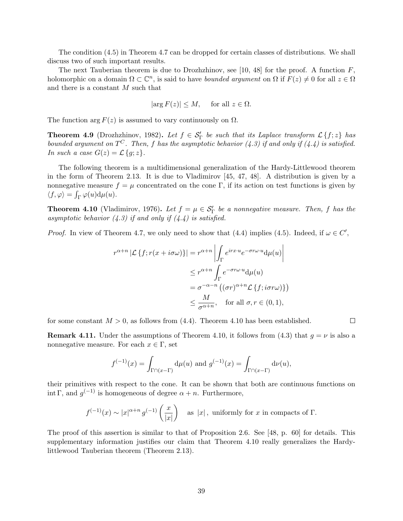The condition (4.5) in Theorem 4.7 can be dropped for certain classes of distributions. We shall discuss two of such important results.

The next Tauberian theorem is due to Drozhzhinov, see [10, 48] for the proof. A function  $F$ , holomorphic on a domain  $\Omega \subset \mathbb{C}^n$ , is said to have *bounded argument* on  $\Omega$  if  $F(z) \neq 0$  for all  $z \in \Omega$ and there is a constant M such that

$$
|\arg F(z)| \leq M
$$
, for all  $z \in \Omega$ .

The function arg  $F(z)$  is assumed to vary continuously on  $\Omega$ .

**Theorem 4.9** (Drozhzhinov, 1982). Let  $f \in S'_{\Gamma}$  be such that its Laplace transform  $\mathcal{L}\{f; z\}$  has bounded argument on  $T^C$ . Then, f has the asymptotic behavior (4.3) if and only if (4.4) is satisfied. In such a case  $G(z) = \mathcal{L}{g; z}.$ 

The following theorem is a multidimensional generalization of the Hardy-Littlewood theorem in the form of Theorem 2.13. It is due to Vladimirov [45, 47, 48]. A distribution is given by a nonnegative measure  $f = \mu$  concentrated on the cone Γ, if its action on test functions is given by  $\langle f, \varphi \rangle = \int_{\Gamma} \varphi(u) d\mu(u).$ 

**Theorem 4.10** (Vladimirov, 1976). Let  $f = \mu \in S'_\Gamma$  be a nonnegative measure. Then, f has the asymptotic behavior  $(4.3)$  if and only if  $(4.4)$  is satisfied.

*Proof.* In view of Theorem 4.7, we only need to show that (4.4) implies (4.5). Indeed, if  $\omega \in C'$ ,

$$
r^{\alpha+n} |\mathcal{L} \{ f; r(x+i\sigma\omega) \}| = r^{\alpha+n} \left| \int_{\Gamma} e^{irx \cdot u} e^{-\sigma r \omega \cdot u} d\mu(u) \right|
$$
  

$$
\leq r^{\alpha+n} \int_{\Gamma} e^{-\sigma r \omega \cdot u} d\mu(u)
$$
  

$$
= \sigma^{-\alpha-n} \left( (\sigma r)^{\alpha+n} \mathcal{L} \{ f; i\sigma r \omega \} \right)
$$
  

$$
\leq \frac{M}{\sigma^{\alpha+n}}, \quad \text{for all } \sigma, r \in (0,1),
$$

for some constant  $M > 0$ , as follows from  $(4.4)$ . Theorem 4.10 has been established.

**Remark 4.11.** Under the assumptions of Theorem 4.10, it follows from (4.3) that  $g = \nu$  is also a nonnegative measure. For each  $x \in \Gamma$ , set

 $\Box$ 

$$
f^{(-1)}(x) = \int_{\Gamma \cap (x-\Gamma)} d\mu(u)
$$
 and  $g^{(-1)}(x) = \int_{\Gamma \cap (x-\Gamma)} d\nu(u)$ ,

their primitives with respect to the cone. It can be shown that both are continuous functions on int Γ, and  $g^{(-1)}$  is homogeneous of degree  $\alpha + n$ . Furthermore,

$$
f^{(-1)}(x) \sim |x|^{\alpha+n} g^{(-1)}\left(\frac{x}{|x|}\right)
$$
 as  $|x|$ , uniformly for x in compacts of  $\Gamma$ .

The proof of this assertion is similar to that of Proposition 2.6. See [48, p. 60] for details. This supplementary information justifies our claim that Theorem 4.10 really generalizes the Hardylittlewood Tauberian theorem (Theorem 2.13).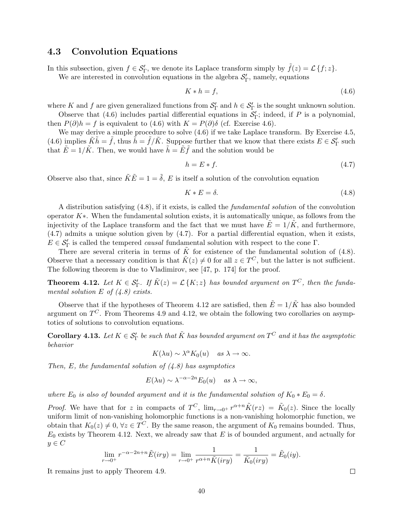### 4.3 Convolution Equations

In this subsection, given  $f \in \mathcal{S}'_{\Gamma}$ , we denote its Laplace transform simply by  $\tilde{f}(z) = \mathcal{L}\{f; z\}$ . We are interested in convolution equations in the algebra  $\mathcal{S}'_{\Gamma}$ , namely, equations

$$
K * h = f,\tag{4.6}
$$

where K and f are given generalized functions from  $S'_{\Gamma}$  and  $h \in S'_{\Gamma}$  is the sought unknown solution.

Observe that (4.6) includes partial differential equations in  $S_{\Gamma}'$ ; indeed, if P is a polynomial, then  $P(\partial)h = f$  is equivalent to (4.6) with  $K = P(\partial)\delta$  (cf. Exercise 4.6).

We may derive a simple procedure to solve  $(4.6)$  if we take Laplace transform. By Exercise 4.5, (4.6) implies  $\tilde{K}\tilde{h} = \tilde{f}$ , thus  $\tilde{h} = \tilde{f}/\tilde{K}$ . Suppose further that we know that there exists  $E \in \mathcal{S}_{\Gamma}'$  such that  $\tilde{E} = 1/\tilde{K}$ . Then, we would have  $\tilde{h} = \tilde{E}\tilde{f}$  and the solution would be

$$
h = E * f. \tag{4.7}
$$

Observe also that, since  $\tilde{K}\tilde{E} = 1 = \tilde{\delta}$ , E is itself a solution of the convolution equation

$$
K * E = \delta. \tag{4.8}
$$

A distribution satisfying (4.8), if it exists, is called the fundamental solution of the convolution operator  $K^*$ . When the fundamental solution exists, it is automatically unique, as follows from the injectivity of the Laplace transform and the fact that we must have  $\tilde{E} = 1/\tilde{K}$ , and furthermore, (4.7) admits a unique solution given by (4.7). For a partial differential equation, when it exists,  $E \in \mathcal{S}'_{\Gamma}$  is called the tempered *causal* fundamental solution with respect to the cone  $\Gamma$ .

There are several criteria in terms of  $\tilde{K}$  for existence of the fundamental solution of (4.8). Observe that a necessary condition is that  $\tilde{K}(z) \neq 0$  for all  $z \in T^C$ , but the latter is not sufficient. The following theorem is due to Vladimirov, see [47, p. 174] for the proof.

**Theorem 4.12.** Let  $K \in S'_{\Gamma}$ . If  $\tilde{K}(z) = \mathcal{L}\{K; z\}$  has bounded argument on  $T^C$ , then the fundamental solution E of  $(4.8)$  exists.

Observe that if the hypotheses of Theorem 4.12 are satisfied, then  $\tilde{E} = 1/\tilde{K}$  has also bounded argument on  $T^C$ . From Theorems 4.9 and 4.12, we obtain the following two corollaries on asymptotics of solutions to convolution equations.

**Corollary 4.13.** Let  $K \in \mathcal{S}'_{\Gamma}$  be such that  $\tilde{K}$  has bounded argument on  $T^C$  and it has the asymptotic behavior

 $K(\lambda u) \sim \lambda^{\alpha} K_0(u)$  as  $\lambda \to \infty$ .

Then, E, the fundamental solution of  $(4.8)$  has asymptotics

$$
E(\lambda u) \sim \lambda^{-\alpha - 2n} E_0(u) \quad \text{as } \lambda \to \infty,
$$

where  $E_0$  is also of bounded argument and it is the fundamental solution of  $K_0 * E_0 = \delta$ .

*Proof.* We have that for z in compacts of  $T^C$ ,  $\lim_{r\to 0^+} r^{\alpha+n} \tilde{K}(rz) = \tilde{K}_0(z)$ . Since the locally uniform limit of non-vanishing holomorphic functions is a non-vanishing holomorphic function, we obtain that  $K_0(z) \neq 0, \forall z \in T^C$ . By the same reason, the argument of  $K_0$  remains bounded. Thus,  $E_0$  exists by Theorem 4.12. Next, we already saw that E is of bounded argument, and actually for  $y \in C$ 

$$
\lim_{r \to 0^+} r^{-\alpha - 2n + n} \tilde{E}(iry) = \lim_{r \to 0^+} \frac{1}{r^{\alpha + n} \tilde{K}(iry)} = \frac{1}{\tilde{K}_0(iry)} = \tilde{E}_0(iy).
$$

It remains just to apply Theorem 4.9.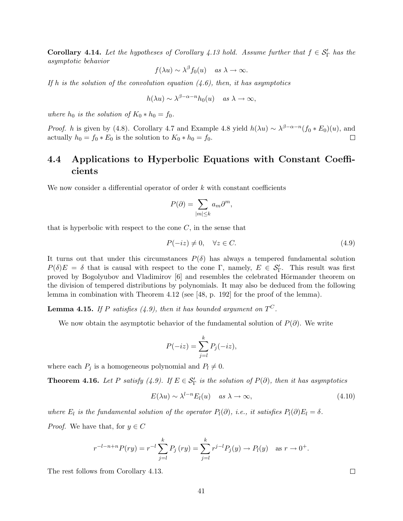**Corollary 4.14.** Let the hypotheses of Corollary 4.13 hold. Assume further that  $f \in S'_\Gamma$  has the asymptotic behavior

$$
f(\lambda u) \sim \lambda^{\beta} f_0(u)
$$
 as  $\lambda \to \infty$ .

If h is the solution of the convolution equation  $(4.6)$ , then, it has asymptotics

$$
h(\lambda u) \sim \lambda^{\beta - \alpha - n} h_0(u) \quad \text{as } \lambda \to \infty,
$$

where  $h_0$  is the solution of  $K_0 * h_0 = f_0$ .

*Proof.* h is given by (4.8). Corollary 4.7 and Example 4.8 yield  $h(\lambda u) \sim \lambda^{\beta-\alpha-n}(f_0 * E_0)(u)$ , and actually  $h_0 = f_0 * E_0$  is the solution to  $K_0 * h_0 = f_0$ .  $\Box$ 

## 4.4 Applications to Hyperbolic Equations with Constant Coefficients

We now consider a differential operator of order  $k$  with constant coefficients

$$
P(\partial) = \sum_{|m| \le k} a_m \partial^m,
$$

that is hyperbolic with respect to the cone  $C$ , in the sense that

$$
P(-iz) \neq 0, \quad \forall z \in C. \tag{4.9}
$$

It turns out that under this circumstances  $P(\delta)$  has always a tempered fundamental solution  $P(\delta)E = \delta$  that is causal with respect to the cone Γ, namely,  $E \in S'_{\Gamma}$ . This result was first proved by Bogolyubov and Vladimirov [6] and resembles the celebrated Hörmander theorem on the division of tempered distributions by polynomials. It may also be deduced from the following lemma in combination with Theorem 4.12 (see [48, p. 192] for the proof of the lemma).

**Lemma 4.15.** If P satisfies (4.9), then it has bounded argument on  $T^C$ .

We now obtain the asymptotic behavior of the fundamental solution of  $P(\partial)$ . We write

$$
P(-iz) = \sum_{j=l}^{k} P_j(-iz),
$$

where each  $P_j$  is a homogeneous polynomial and  $P_l \neq 0$ .

**Theorem 4.16.** Let P satisfy (4.9). If  $E \in S'_{\Gamma}$  is the solution of  $P(\partial)$ , then it has asymptotics

$$
E(\lambda u) \sim \lambda^{l-n} E_l(u) \quad \text{as } \lambda \to \infty,
$$
\n(4.10)

where  $E_l$  is the fundamental solution of the operator  $P_l(\partial)$ , i.e., it satisfies  $P_l(\partial)E_l = \delta$ .

*Proof.* We have that, for  $y \in C$ 

$$
r^{-l-n+n}P(ry) = r^{-l} \sum_{j=l}^{k} P_j (ry) = \sum_{j=l}^{k} r^{j-l} P_j(y) \to P_l(y) \text{ as } r \to 0^+.
$$

The rest follows from Corollary 4.13.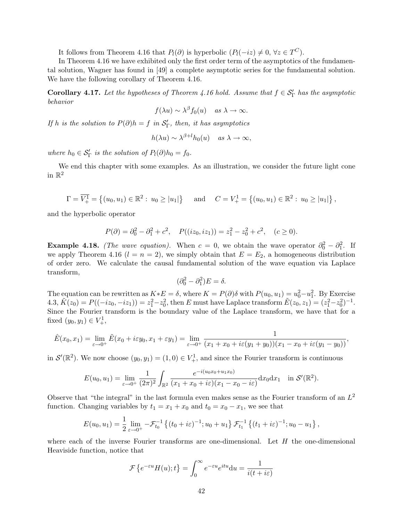It follows from Theorem 4.16 that  $P_l(\partial)$  is hyperbolic  $(P_l(-iz) \neq 0, \forall z \in T^C)$ .

In Theorem 4.16 we have exhibited only the first order term of the asymptotics of the fundamental solution, Wagner has found in [49] a complete asymptotic series for the fundamental solution. We have the following corollary of Theorem 4.16.

**Corollary 4.17.** Let the hypotheses of Theorem 4.16 hold. Assume that  $f \in S'_{\Gamma}$  has the asymptotic behavior

$$
f(\lambda u) \sim \lambda^{\beta} f_0(u)
$$
 as  $\lambda \to \infty$ .

If h is the solution to  $P(\partial)h = f$  in  $S'_{\Gamma}$ , then, it has asymptotics

$$
h(\lambda u) \sim \lambda^{\beta+l} h_0(u) \quad \text{as } \lambda \to \infty,
$$

where  $h_0 \in S'_\Gamma$  is the solution of  $P_l(\partial)h_0 = f_0$ .

We end this chapter with some examples. As an illustration, we consider the future light cone in  $\mathbb{R}^2$ 

$$
\Gamma = \overline{V_+^1} = \left\{ (u_0, u_1) \in \mathbb{R}^2 : u_0 \ge |u_1| \right\} \text{ and } C = V_+^1 = \left\{ (u_0, u_1) \in \mathbb{R}^2 : u_0 \ge |u_1| \right\},\
$$

and the hyperbolic operator

$$
P(\partial) = \partial_0^2 - \partial_1^2 + c^2, \quad P((iz_0, iz_1)) = z_1^2 - z_0^2 + c^2, \quad (c \ge 0).
$$

**Example 4.18.** (The wave equation). When  $c = 0$ , we obtain the wave operator  $\partial_0^2 - \partial_1^2$ . If we apply Theorem 4.16  $(l = n = 2)$ , we simply obtain that  $E = E_2$ , a homogeneous distribution of order zero. We calculate the causal fundamental solution of the wave equation via Laplace transform,

$$
(\partial_0^2 - \partial_1^2)E = \delta.
$$

The equation can be rewritten as  $K * E = \delta$ , where  $K = P(\partial)\delta$  with  $P(u_0, u_1) = u_0^2 - u_1^2$ . By Exercise  $4.3, \tilde{K}(z_0) = P((-iz_0, -iz_1)) = z_1^2 - z_0^2$ , then E must have Laplace transform  $\tilde{E}(z_0, z_1) = (z_1^2 - z_0^2)^{-1}$ . Since the Fourier transform is the boundary value of the Laplace transform, we have that for a fixed  $(y_0, y_1) \in V^1_+,$ 

$$
\hat{E}(x_0,x_1)=\lim_{\varepsilon\to 0^+}\tilde{E}(x_0+i\varepsilon y_0,x_1+\varepsilon y_1)=\lim_{\varepsilon\to 0^+}\frac{1}{(x_1+x_0+i\varepsilon(y_1+y_0))(x_1-x_0+i\varepsilon(y_1-y_0))},
$$

in  $\mathcal{S}'(\mathbb{R}^2)$ . We now choose  $(y_0, y_1) = (1, 0) \in V^1_+$ , and since the Fourier transform is continuous

$$
E(u_0, u_1) = \lim_{\varepsilon \to 0^+} \frac{1}{(2\pi)^2} \int_{\mathbb{R}^2} \frac{e^{-i(u_0x_0 + u_1x_0)}}{(x_1 + x_0 + i\varepsilon)(x_1 - x_0 - i\varepsilon)} dx_0 dx_1 \quad \text{in } \mathcal{S}'(\mathbb{R}^2).
$$

Observe that "the integral" in the last formula even makes sense as the Fourier transform of an  $L^2$ function. Changing variables by  $t_1 = x_1 + x_0$  and  $t_0 = x_0 - x_1$ , we see that

$$
E(u_0, u_1) = \frac{1}{2} \lim_{\varepsilon \to 0^+} -\mathcal{F}_{t_0}^{-1} \left\{ (t_0 + i\varepsilon)^{-1}; u_0 + u_1 \right\} \mathcal{F}_{t_1}^{-1} \left\{ (t_1 + i\varepsilon)^{-1}; u_0 - u_1 \right\},
$$

where each of the inverse Fourier transforms are one-dimensional. Let  $H$  the one-dimensional Heaviside function, notice that

$$
\mathcal{F}\left\{e^{-\varepsilon u}H(u);t\right\} = \int_0^\infty e^{-\varepsilon u}e^{itu} \mathrm{d}u = \frac{1}{i(t+i\varepsilon)}
$$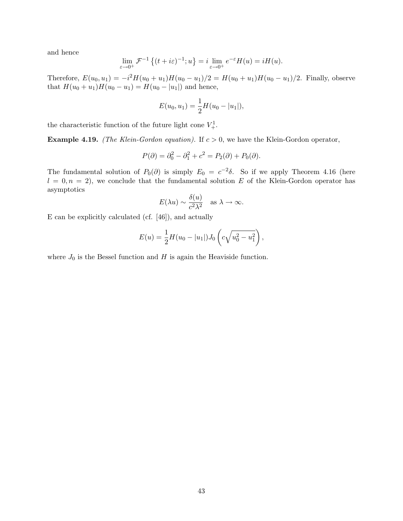and hence

$$
\lim_{\varepsilon \to 0^+} \mathcal{F}^{-1}\left\{(t+i\varepsilon)^{-1}; u\right\} = i \lim_{\varepsilon \to 0^+} e^{-\varepsilon} H(u) = iH(u).
$$

Therefore,  $E(u_0, u_1) = -i^2 H(u_0 + u_1)H(u_0 - u_1)/2 = H(u_0 + u_1)H(u_0 - u_1)/2$ . Finally, observe that  $H(u_0 + u_1)H(u_0 - u_1) = H(u_0 - |u_1|)$  and hence,

$$
E(u_0, u_1) = \frac{1}{2}H(u_0 - |u_1|),
$$

the characteristic function of the future light cone  $V_+^1$ .

**Example 4.19.** (The Klein-Gordon equation). If  $c > 0$ , we have the Klein-Gordon operator,

$$
P(\partial) = \partial_0^2 - \partial_1^2 + c^2 = P_2(\partial) + P_0(\partial).
$$

The fundamental solution of  $P_0(\partial)$  is simply  $E_0 = c^{-2}\delta$ . So if we apply Theorem 4.16 (here  $l = 0, n = 2$ , we conclude that the fundamental solution E of the Klein-Gordon operator has asymptotics

$$
E(\lambda u) \sim \frac{\delta(u)}{c^2 \lambda^2}
$$
 as  $\lambda \to \infty$ .

E can be explicitly calculated (cf. [46]), and actually

$$
E(u) = \frac{1}{2}H(u_0 - |u_1|)J_0\left(c\sqrt{u_0^2 - u_1^2}\right),
$$

where  $J_0$  is the Bessel function and  $H$  is again the Heaviside function.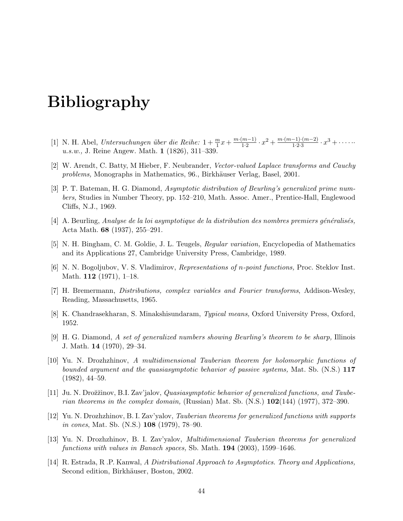# Bibliography

- [1] N. H. Abel, Untersuchungen über die Reihe:  $1 + \frac{m}{1}x + \frac{m \cdot (m-1)}{1 \cdot 2}$  $\frac{(m-1)}{1\cdot 2} \cdot x^2 + \frac{m\cdot (m-1)\cdot (m-2)}{1\cdot 2\cdot 3}$  $\frac{-1)(m-2)}{1\cdot 2\cdot 3} \cdot x^3 + \cdots$ u.s.w., J. Reine Angew. Math. 1 (1826), 311–339.
- [2] W. Arendt, C. Batty, M Hieber, F. Neubrander, Vector-valued Laplace transforms and Cauchy problems, Monographs in Mathematics, 96., Birkhäuser Verlag, Basel, 2001.
- [3] P. T. Bateman, H. G. Diamond, Asymptotic distribution of Beurling's generalized prime numbers, Studies in Number Theory, pp. 152–210, Math. Assoc. Amer., Prentice-Hall, Englewood Cliffs, N.J., 1969.
- $[4]$  A. Beurling, Analyse de la loi asymptotique de la distribution des nombres premiers généralisés, Acta Math. 68 (1937), 255–291.
- [5] N. H. Bingham, C. M. Goldie, J. L. Teugels, Regular variation, Encyclopedia of Mathematics and its Applications 27, Cambridge University Press, Cambridge, 1989.
- [6] N. N. Bogoljubov, V. S. Vladimirov, Representations of n-point functions, Proc. Steklov Inst. Math. 112 (1971), 1–18.
- [7] H. Bremermann, Distributions, complex variables and Fourier transforms, Addison-Wesley, Reading, Massachusetts, 1965.
- [8] K. Chandrasekharan, S. Minakshisundaram, Typical means, Oxford University Press, Oxford, 1952.
- [9] H. G. Diamond, A set of generalized numbers showing Beurling's theorem to be sharp, Illinois J. Math. 14 (1970), 29–34.
- [10] Yu. N. Drozhzhinov, A multidimensional Tauberian theorem for holomorphic functions of bounded argument and the quasiasymptotic behavior of passive systems, Mat. Sb. (N.S.) 117 (1982), 44–59.
- [11] Ju. N. Drožžinov, B.I. Zav'jalov, *Quasiasymptotic behavior of generalized functions, and Taube*rian theorems in the complex domain, (Russian) Mat. Sb. (N.S.)  $102(144)$  (1977), 372–390.
- [12] Yu. N. Drozhzhinov, B. I. Zav'yalov, Tauberian theorems for generalized functions with supports in cones, Mat. Sb. (N.S.) 108 (1979), 78–90.
- [13] Yu. N. Drozhzhinov, B. I. Zav'yalov, Multidimensional Tauberian theorems for generalized functions with values in Banach spaces, Sb. Math. 194 (2003), 1599-1646.
- [14] R. Estrada, R .P. Kanwal, A Distributional Approach to Asymptotics. Theory and Applications, Second edition, Birkhäuser, Boston, 2002.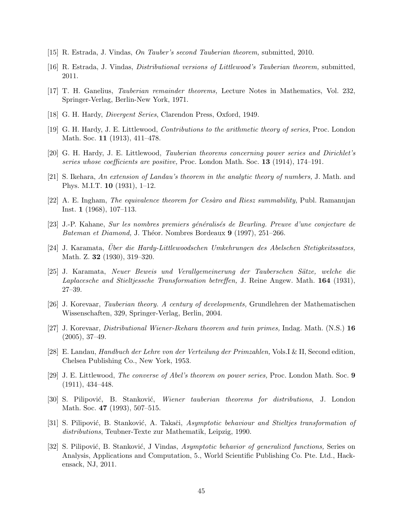- [15] R. Estrada, J. Vindas, On Tauber's second Tauberian theorem, submitted, 2010.
- [16] R. Estrada, J. Vindas, Distributional versions of Littlewood's Tauberian theorem, submitted, 2011.
- [17] T. H. Ganelius, Tauberian remainder theorems, Lecture Notes in Mathematics, Vol. 232, Springer-Verlag, Berlin-New York, 1971.
- [18] G. H. Hardy, Divergent Series, Clarendon Press, Oxford, 1949.
- [19] G. H. Hardy, J. E. Littlewood, Contributions to the arithmetic theory of series, Proc. London Math. Soc. 11 (1913), 411–478.
- [20] G. H. Hardy, J. E. Littlewood, Tauberian theorems concerning power series and Dirichlet's series whose coefficients are positive, Proc. London Math. Soc. 13 (1914), 174–191.
- [21] S. Ikehara, An extension of Landau's theorem in the analytic theory of numbers, J. Math. and Phys. M.I.T. 10 (1931), 1–12.
- [22] A. E. Ingham, *The equivalence theorem for Cesaro and Riesz summability*, Publ. Ramanujan Inst. 1 (1968), 107–113.
- [23] J.-P. Kahane, Sur les nombres premiers g´en´eralis´es de Beurling. Preuve d'une conjecture de Bateman et Diamond, J. Théor. Nombres Bordeaux 9 (1997), 251–266.
- [24] J. Karamata, Uber die Hardy-Littlewoodschen Umkehrungen des Abelschen Stetigkeitssatzes, ¨ Math. Z. 32 (1930), 319–320.
- [25] J. Karamata, Neuer Beweis und Verallgemeinerung der Tauberschen S¨atze, welche die Laplacesche and Stieltjessche Transformation betreffen, J. Reine Angew. Math. 164 (1931), 27–39.
- [26] J. Korevaar, Tauberian theory. A century of developments, Grundlehren der Mathematischen Wissenschaften, 329, Springer-Verlag, Berlin, 2004.
- [27] J. Korevaar, Distributional Wiener-Ikehara theorem and twin primes, Indag. Math. (N.S.) 16 (2005), 37–49.
- [28] E. Landau, Handbuch der Lehre von der Verteilung der Primzahlen, Vols.I & II, Second edition, Chelsea Publishing Co., New York, 1953.
- [29] J. E. Littlewood, The converse of Abel's theorem on power series, Proc. London Math. Soc. 9 (1911), 434–448.
- [30] S. Pilipović, B. Stanković, *Wiener tauberian theorems for distributions*, J. London Math. Soc. 47 (1993), 507-515.
- [31] S. Pilipović, B. Stanković, A. Takači, Asymptotic behaviour and Stieltjes transformation of distributions, Teubner-Texte zur Mathematik, Leipzig, 1990.
- [32] S. Pilipović, B. Stanković, J Vindas, Asymptotic behavior of generalized functions, Series on Analysis, Applications and Computation, 5., World Scientific Publishing Co. Pte. Ltd., Hackensack, NJ, 2011.